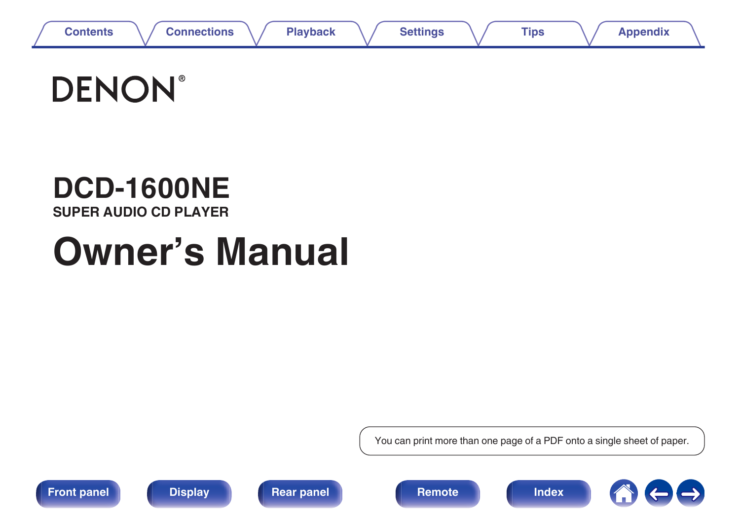

# **DENON®**

# **DCD-1600NE**

**SUPER AUDIO CD PLAYER**

# **Owner's Manual**

You can print more than one page of a PDF onto a single sheet of paper.









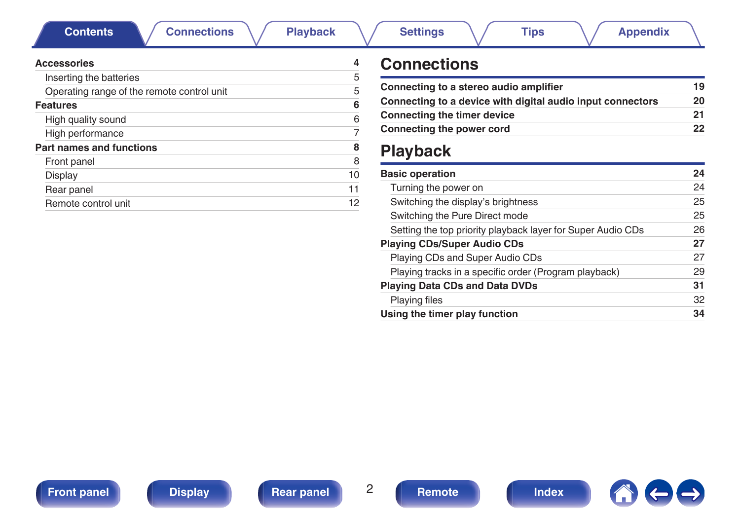<span id="page-1-0"></span>**Contents [Connections](#page-17-0)**  $\setminus$  **[Playback](#page-22-0)**  $\setminus$  **[Settings](#page-34-0)**  $\setminus$  **[Tips](#page-35-0)**  $\setminus$  **[Appendix](#page-41-0)** 

| <b>Accessories</b>                         |    |
|--------------------------------------------|----|
| Inserting the batteries                    | 5  |
| Operating range of the remote control unit | 5  |
| <b>Features</b>                            | 6  |
| High quality sound                         | 6  |
| High performance                           |    |
| Part names and functions                   | 8  |
| Front panel                                | 8  |
| Display                                    | 10 |
| Rear panel                                 | 11 |
| Remote control unit                        | 12 |

## **Connections**

| 19 |
|----|
| 20 |
| 21 |
| 22 |
|    |

## **Playback**

| <b>Basic operation</b>                                      | 24 |
|-------------------------------------------------------------|----|
| Turning the power on                                        | 24 |
| Switching the display's brightness                          | 25 |
| Switching the Pure Direct mode                              | 25 |
| Setting the top priority playback layer for Super Audio CDs | 26 |
| <b>Playing CDs/Super Audio CDs</b>                          | 27 |
| Playing CDs and Super Audio CDs                             | 27 |
| Playing tracks in a specific order (Program playback)       | 29 |
| <b>Playing Data CDs and Data DVDs</b>                       | 31 |
| <b>Playing files</b>                                        | 32 |
| Using the timer play function                               | 34 |
|                                                             |    |

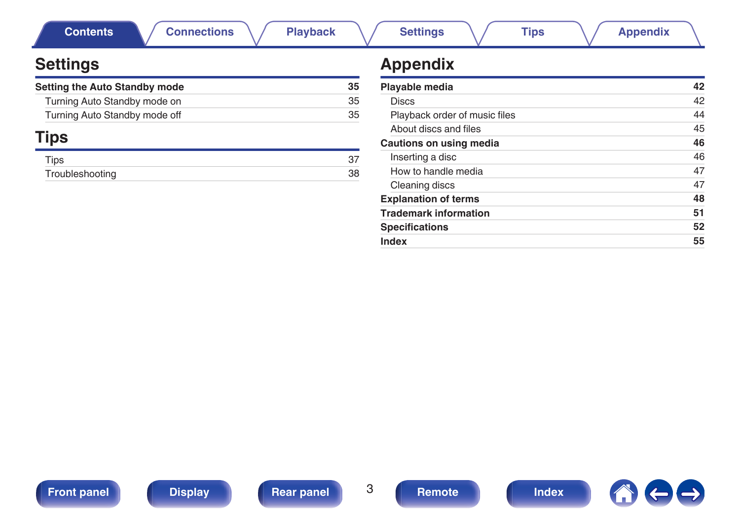| <b>Connections</b><br><b>Playback</b><br><b>Contents</b> |    | <b>Settings</b><br><b>Tips</b><br><b>Appendix</b>  |  |  |  |  |
|----------------------------------------------------------|----|----------------------------------------------------|--|--|--|--|
| <b>Settings</b>                                          |    | <b>Appendix</b>                                    |  |  |  |  |
| Setting the Auto Standby mode                            | 35 | Playable media                                     |  |  |  |  |
| Turning Auto Standby mode on                             | 35 | <b>Discs</b>                                       |  |  |  |  |
| Turning Auto Standby mode off                            | 35 | Playback order of music files                      |  |  |  |  |
|                                                          |    | About discs and files                              |  |  |  |  |
| <b>Tips</b>                                              |    | Cautions on using media                            |  |  |  |  |
| <b>Tips</b>                                              | 37 | Inserting a disc                                   |  |  |  |  |
| 38<br>Troubleshooting                                    |    | How to handle media                                |  |  |  |  |
|                                                          |    | Cleaning discs                                     |  |  |  |  |
|                                                          |    | <b>Explanation of terms</b>                        |  |  |  |  |
|                                                          |    | The constitution of a control of a constitution of |  |  |  |  |

## **Appendix**

| Playable media                | 42 |
|-------------------------------|----|
| <b>Discs</b>                  | 42 |
| Playback order of music files | 44 |
| About discs and files         | 45 |
| Cautions on using media       | 46 |
| Inserting a disc              | 46 |
| How to handle media           | 47 |
| Cleaning discs                | 47 |
| <b>Explanation of terms</b>   | 48 |
| <b>Trademark information</b>  | 51 |
| <b>Specifications</b>         | 52 |
| Index                         | 55 |



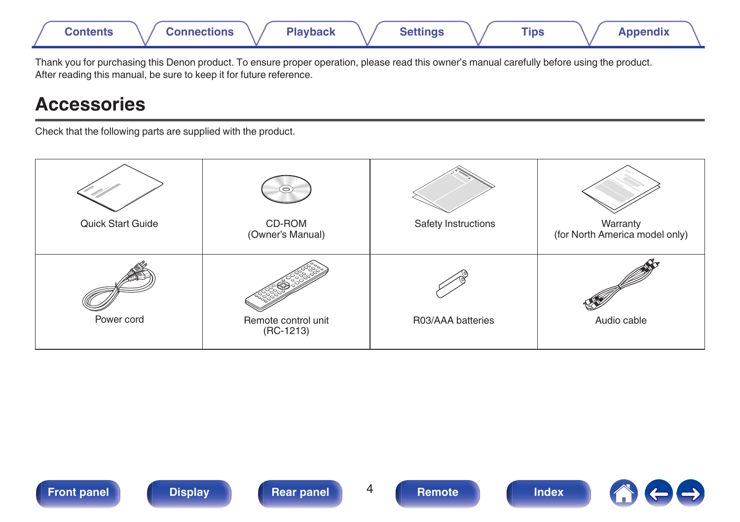<span id="page-3-0"></span>

Thank you for purchasing this Denon product. To ensure proper operation, please read this owner's manual carefully before using the product. After reading this manual, be sure to keep it for future reference.

## **Accessories**

Check that the following parts are supplied with the product.

| Quick Start Guide | $\circ$<br>CD-ROM<br>(Owner's Manual) | Safety Instructions | Warranty<br>(for North America model only) |
|-------------------|---------------------------------------|---------------------|--------------------------------------------|
| Power cord        | Remote control unit<br>$(RC-1213)$    | R03/AAA batteries   | Audio cable                                |



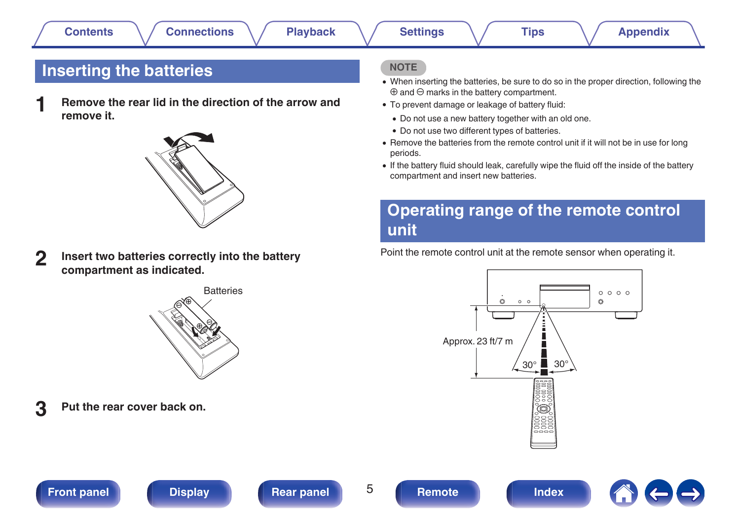## <span id="page-4-0"></span>**Inserting the batteries**

**1 Remove the rear lid in the direction of the arrow and remove it.**



**2 Insert two batteries correctly into the battery compartment as indicated.**



**3 Put the rear cover back on.**

### **NOTE**

- When inserting the batteries, be sure to do so in the proper direction, following the  $\oplus$  and  $\ominus$  marks in the battery compartment.
- To prevent damage or leakage of battery fluid:
	- Do not use a new battery together with an old one.
	- Do not use two different types of batteries.
- 0 Remove the batteries from the remote control unit if it will not be in use for long periods.
- If the battery fluid should leak, carefully wipe the fluid off the inside of the battery compartment and insert new batteries.

## **Operating range of the remote control unit**

Point the remote control unit at the remote sensor when operating it.





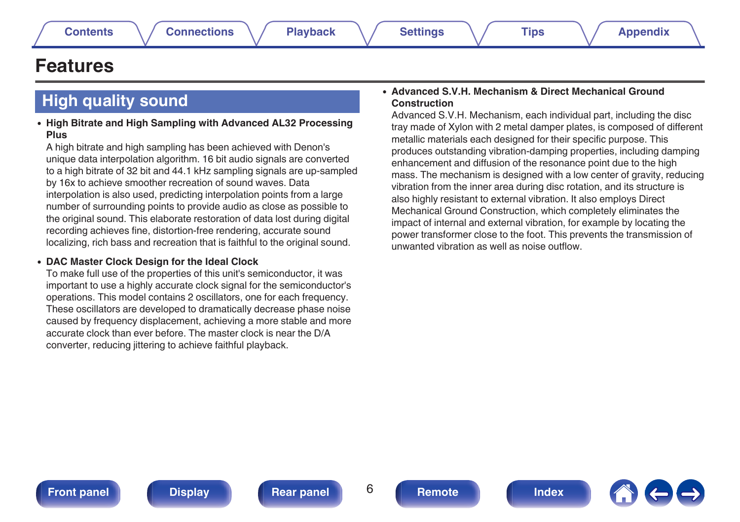## <span id="page-5-0"></span>**Features**

## **High quality sound**

#### 0 **High Bitrate and High Sampling with Advanced AL32 Processing Plus**

A high bitrate and high sampling has been achieved with Denon's unique data interpolation algorithm. 16 bit audio signals are converted to a high bitrate of 32 bit and 44.1 kHz sampling signals are up-sampled by 16x to achieve smoother recreation of sound waves. Data interpolation is also used, predicting interpolation points from a large number of surrounding points to provide audio as close as possible to the original sound. This elaborate restoration of data lost during digital recording achieves fine, distortion-free rendering, accurate sound localizing, rich bass and recreation that is faithful to the original sound.

#### 0 **DAC Master Clock Design for the Ideal Clock**

To make full use of the properties of this unit's semiconductor, it was important to use a highly accurate clock signal for the semiconductor's operations. This model contains 2 oscillators, one for each frequency. These oscillators are developed to dramatically decrease phase noise caused by frequency displacement, achieving a more stable and more accurate clock than ever before. The master clock is near the D/A converter, reducing jittering to achieve faithful playback.

#### 0 **Advanced S.V.H. Mechanism & Direct Mechanical Ground Construction**

Advanced S.V.H. Mechanism, each individual part, including the disc tray made of Xylon with 2 metal damper plates, is composed of different metallic materials each designed for their specific purpose. This produces outstanding vibration-damping properties, including damping enhancement and diffusion of the resonance point due to the high mass. The mechanism is designed with a low center of gravity, reducing vibration from the inner area during disc rotation, and its structure is also highly resistant to external vibration. It also employs Direct Mechanical Ground Construction, which completely eliminates the impact of internal and external vibration, for example by locating the power transformer close to the foot. This prevents the transmission of unwanted vibration as well as noise outflow.

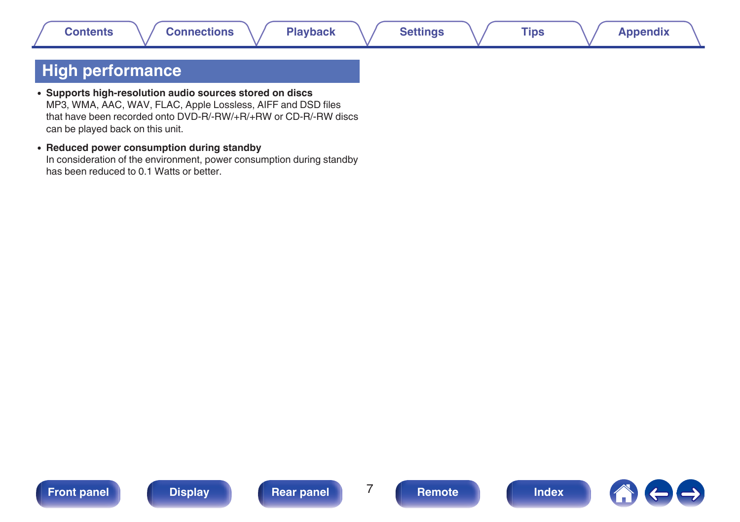## <span id="page-6-0"></span>**High performance**

- 0 **Supports high-resolution audio sources stored on discs** MP3, WMA, AAC, WAV, FLAC, Apple Lossless, AIFF and DSD files that have been recorded onto DVD-R/-RW/+R/+RW or CD-R/-RW discs can be played back on this unit.
- 0 **Reduced power consumption during standby** In consideration of the environment, power consumption during standby has been reduced to 0.1 Watts or better.







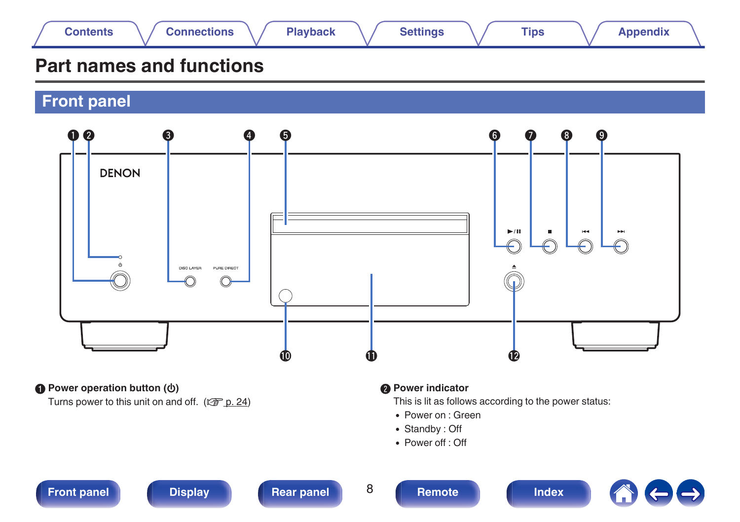<span id="page-7-0"></span>

## **Part names and functions**

**Front panel**



**A** Power operation button ( $\phi$ )

Turns power to this unit on and off.  $(\sqrt{p} \cdot p. 24)$  $(\sqrt{p} \cdot p. 24)$ 

#### **B** Power indicator

This is lit as follows according to the power status:

- Power on : Green
- Standby: Off
- Power off : Off

## **Front panel [Display](#page-9-0) [Rear panel](#page-10-0)** 8 **[Remote](#page-11-0) [Index](#page-54-0)**



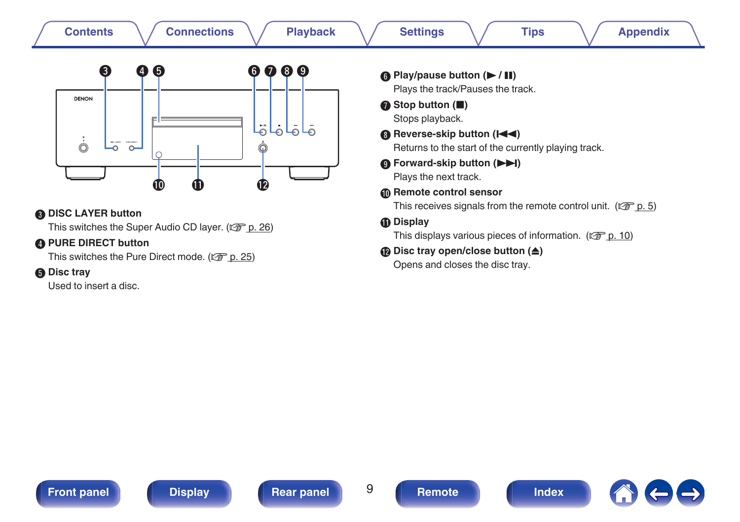| ❸<br>$\boldsymbol{\Theta}$<br>4<br><b>DENON</b><br>$\dot{\odot}$<br>Discussion eventured<br>$\circ$<br>$\bf \Phi$<br>Œ<br><b>ODISC LAYER button</b><br>This switches the Super Audio CD layer. (@ p. 26)<br>PURE DIRECT button<br>This switches the Pure Direct mode. (CF p. 25)<br><b>6</b> Disc tray<br>Used to insert a disc. | 000<br>G<br>ا ق<br>لولقلق<br>❶ | <b>6</b> Play/pause button ( $\blacktriangleright$ / II)<br>Plays the track/Pauses the track.<br>Stop button (III)<br>Stops playback.<br><b>B</b> Reverse-skip button ( $\blacktriangleleft$<br>Returns to the start of the currently playing track.<br><b>O</b> Forward-skip button (<br>Plays the next track.<br><b>6</b> Remote control sensor<br>This receives signals from the remote control unit. ( $\mathbb{C}^2$ p. 5)<br><b><i>I</i></b> Display<br>This displays various pieces of information. ( $\mathbb{C}$ p. 10)<br><b>D</b> Disc tray open/close button $(\triangle)$<br>Opens and closes the disc tray. |
|----------------------------------------------------------------------------------------------------------------------------------------------------------------------------------------------------------------------------------------------------------------------------------------------------------------------------------|--------------------------------|---------------------------------------------------------------------------------------------------------------------------------------------------------------------------------------------------------------------------------------------------------------------------------------------------------------------------------------------------------------------------------------------------------------------------------------------------------------------------------------------------------------------------------------------------------------------------------------------------------------------------|
|----------------------------------------------------------------------------------------------------------------------------------------------------------------------------------------------------------------------------------------------------------------------------------------------------------------------------------|--------------------------------|---------------------------------------------------------------------------------------------------------------------------------------------------------------------------------------------------------------------------------------------------------------------------------------------------------------------------------------------------------------------------------------------------------------------------------------------------------------------------------------------------------------------------------------------------------------------------------------------------------------------------|

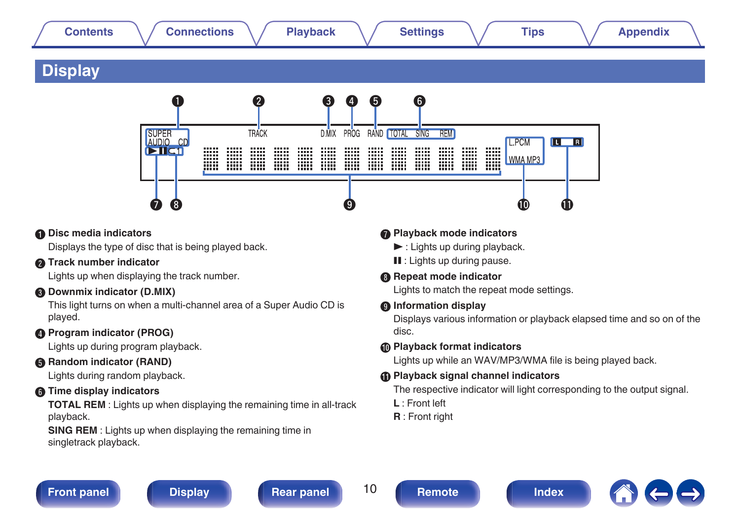## <span id="page-9-0"></span>**[Contents](#page-1-0) [Connections](#page-17-0) [Playback](#page-22-0) [Settings](#page-34-0) [Tips](#page-35-0) [Appendix](#page-41-0)**

## **Display**



#### A **Disc media indicators**

Displays the type of disc that is being played back.

#### **B** Track number indicator

Lights up when displaying the track number.

### C **Downmix indicator (D.MIX)**

This light turns on when a multi-channel area of a Super Audio CD is played.

### **Program indicator (PROG)**

Lights up during program playback.

#### **Random indicator (RAND)**

Lights during random playback.

### **Time display indicators**

**TOTAL REM** : Lights up when displaying the remaining time in all-track playback.

**SING REM** : Lights up when displaying the remaining time in singletrack playback.

### G **Playback mode indicators**

- $\blacktriangleright$ : Lights up during playback.
- **II** : Lights up during pause.

### **B** Repeat mode indicator

Lights to match the repeat mode settings.

#### **D** Information display

Displays various information or playback elapsed time and so on of the disc.

#### $\bigcirc$  **Playback format indicators**

Lights up while an WAV/MP3/WMA file is being played back.

### $\bigoplus$  **Playback signal channel indicators**

The respective indicator will light corresponding to the output signal.

- **L** : Front left
- **R** : Front right



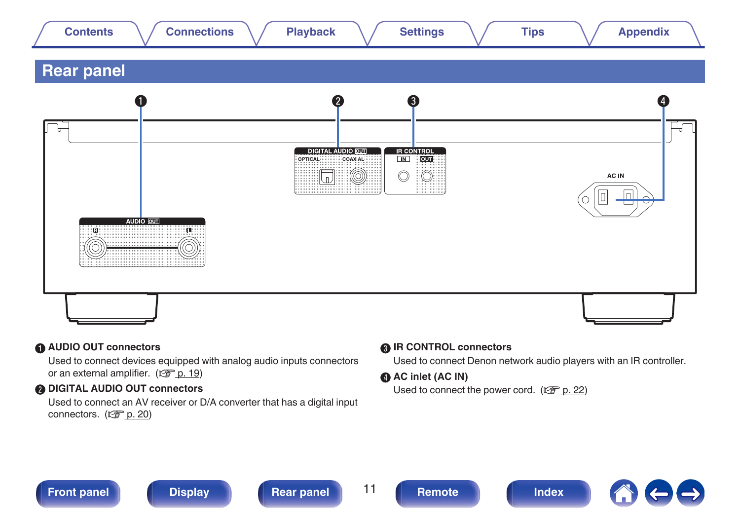<span id="page-10-0"></span>

#### A **AUDIO OUT connectors**

Used to connect devices equipped with analog audio inputs connectors or an external amplifier.  $(\sqrt{p} \cdot \vec{p} \cdot 19)$ 

#### **B DIGITAL AUDIO OUT connectors**

Used to connect an AV receiver or D/A converter that has a digital input connectors.  $(\sqrt{\epsilon} \cdot \vec{p})$  [p. 20\)](#page-19-0)

#### **R** IR CONTROL connectors

Used to connect Denon network audio players with an IR controller.

#### **@ AC inlet (AC IN)**

Used to connect the power cord.  $(\sqrt{p} \cdot p. 22)$  $(\sqrt{p} \cdot p. 22)$ 



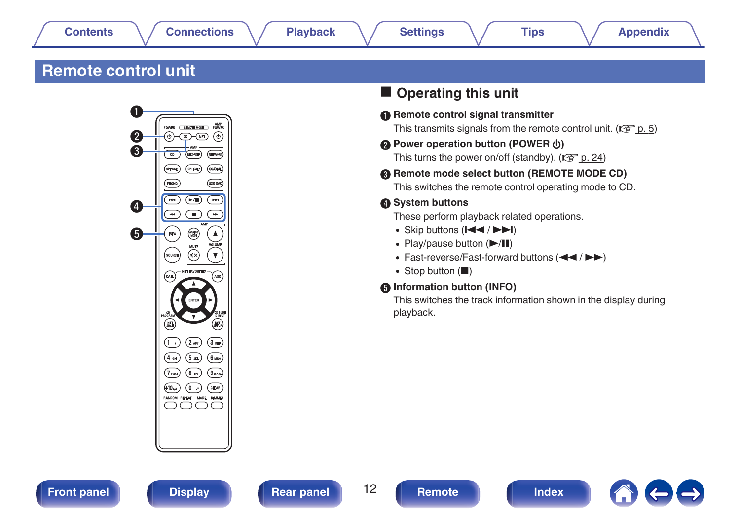## <span id="page-11-0"></span>**Remote control unit**



## **Operating this unit**

A **Remote control signal transmitter**

This transmits signals from the remote control unit. ( $\mathbb{C}$  [p. 5\)](#page-4-0)

#### **A** Power operation button (POWER (b)

This turns the power on/off (standby).  $(\sqrt{\pi}$  [p. 24\)](#page-23-0)

**B** Remote mode select button (REMOTE MODE CD) This switches the remote control operating mode to CD.

### **O** System buttons

These perform playback related operations.

- $\bullet$  Skip buttons ( $\left|\right|$   $\left|\right|$   $\left|\right|$   $\left|\right|$ )
- $\cdot$  Play/pause button  $(\blacktriangleright/\blacksquare)$
- Fast-reverse/Fast-forward buttons  $(44/)$
- Stop button  $(\blacksquare)$

#### **Information button (INFO)**

This switches the track information shown in the display during playback.





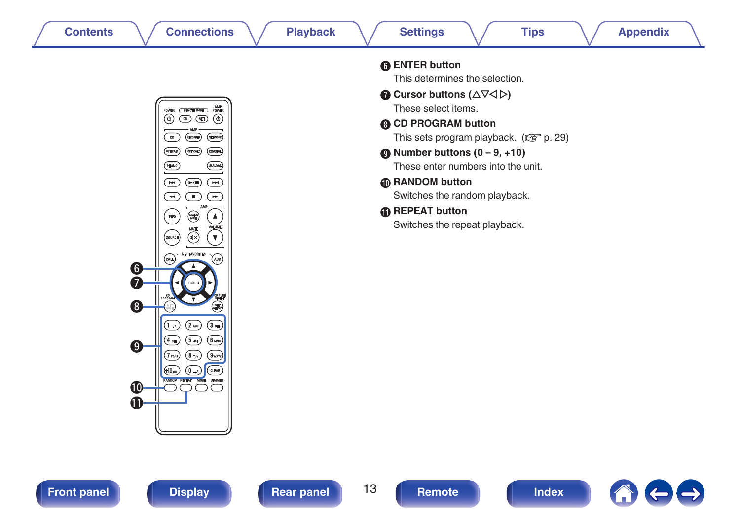



| <b>6</b> ENTER button                                           |
|-----------------------------------------------------------------|
| This determines the selection.                                  |
| Cursor buttons ( $\Delta \nabla \triangleleft \triangleright$ ) |
| These select items.                                             |
| <b>@ CD PROGRAM button</b>                                      |
| This sets program playback. $(\sqrt{2\pi} p. 29)$               |
| $\bullet$ Number buttons (0 – 9, +10)                           |
| These enter numbers into the unit.                              |
| <b>M</b> RANDOM button                                          |
| Switches the random playback.                                   |
| <b><i>A</i></b> REPEAT button                                   |
| Switches the repeat playback.                                   |



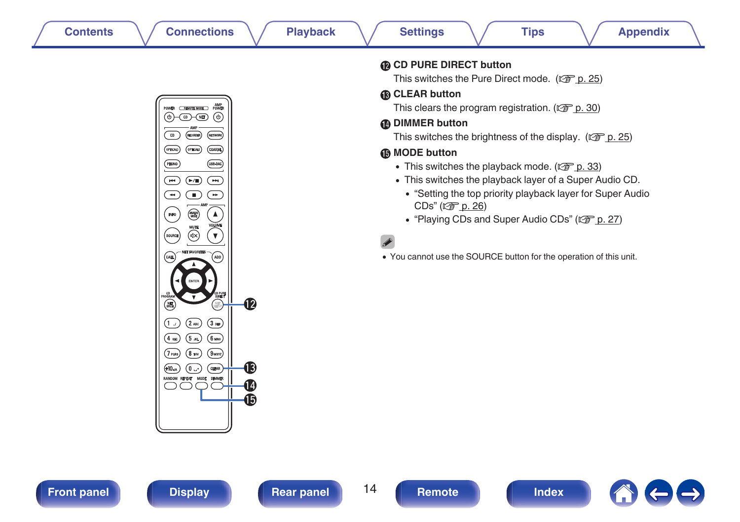

**CD PURE DIRECT button** 

This switches the Pure Direct mode. ( $\mathbb{C}$  [p. 25\)](#page-24-0)

### M **CLEAR button**

This clears the program registration. ( $\mathbb{C}$  [p. 30\)](#page-29-0)

### N **DIMMER button**

This switches the brightness of the display. ( $\mathbb{Q}$  [p. 25\)](#page-24-0)

### **D** MODE button

- This switches the playback mode. ( $\mathbb{Q}$  [p. 33\)](#page-32-0)
- 0 This switches the playback layer of a Super Audio CD.
	- 0 ["Setting the top priority playback layer for Super Audio](#page-25-0) [CDs" \(](#page-25-0)@Pp. 26)
	- ["Playing CDs and Super Audio CDs" \(](#page-26-0)v p. 27)

0 You cannot use the SOURCE button for the operation of this unit.





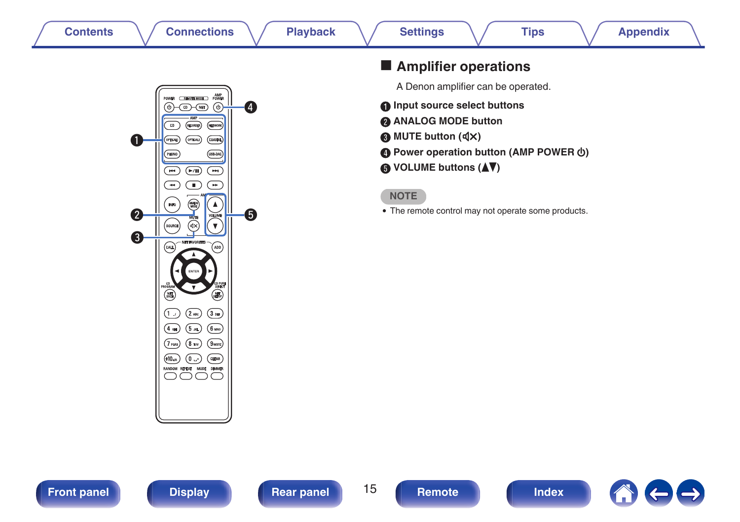

## $\blacksquare$  Amplifier operations

A Denon amplifier can be operated.

- **A** Input source select buttons
- B **ANALOG MODE button**
- **MUTE button (** $\text{d}$ **X)**
- **D** Power operation button (AMP POWER  $\phi$ )
- E **VOLUME buttons (**df**)**

#### **NOTE**

• The remote control may not operate some products.



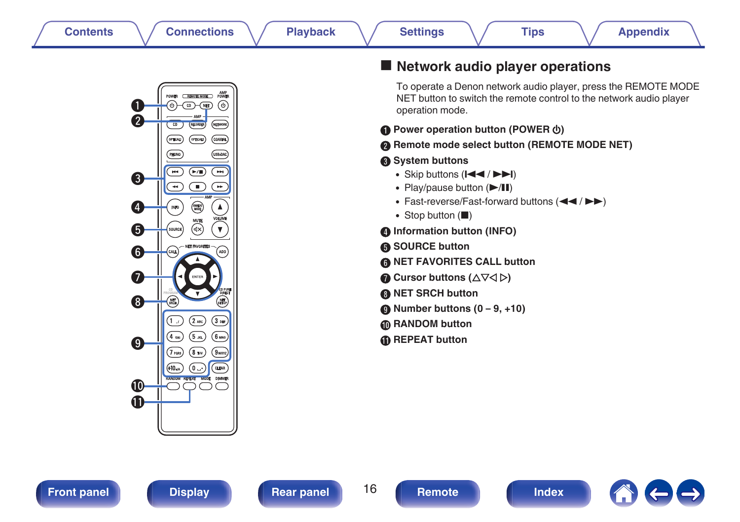

## ■ Network audio player operations

To operate a Denon network audio player, press the REMOTE MODE NET button to switch the remote control to the network audio player operation mode.

- **Power operation button (POWER**  $\phi$ **)**
- **Remote mode select button (REMOTE MODE NET)**
- **System buttons** 
	- $\bullet$  Skip buttons ( $\left|\right|$   $\left|\right|$   $\left|\right|$   $\left|\right|$ )
	- $\cdot$  Play/pause button  $(\blacktriangleright/\mathbf{II})$
	- Fast-reverse/Fast-forward buttons  $(44/)$
	- $\bullet$  Stop button ( $\blacksquare$ )
- **D** Information button (INFO)
- E **SOURCE button**
- **NET FAVORITES CALL button**
- **Cursor buttons (** $\Delta \nabla \triangleleft \triangleright$ **)**
- **NET SRCH button**
- I **Number buttons (0 9, +10)**
- **D** RANDOM button
- **REPEAT button**

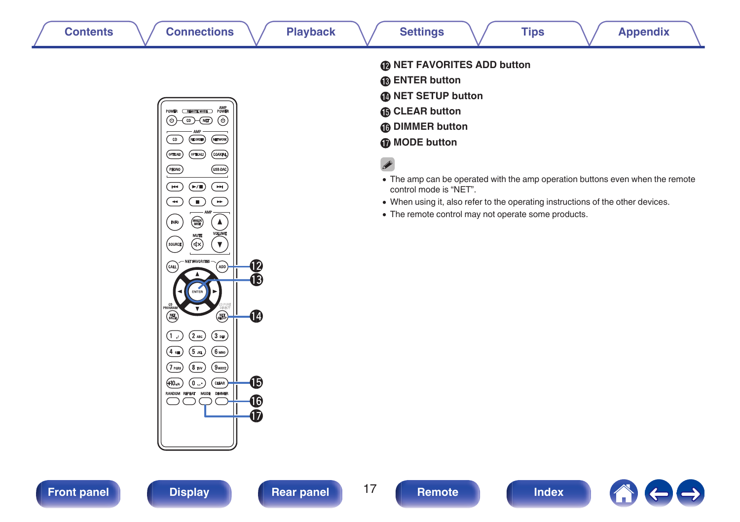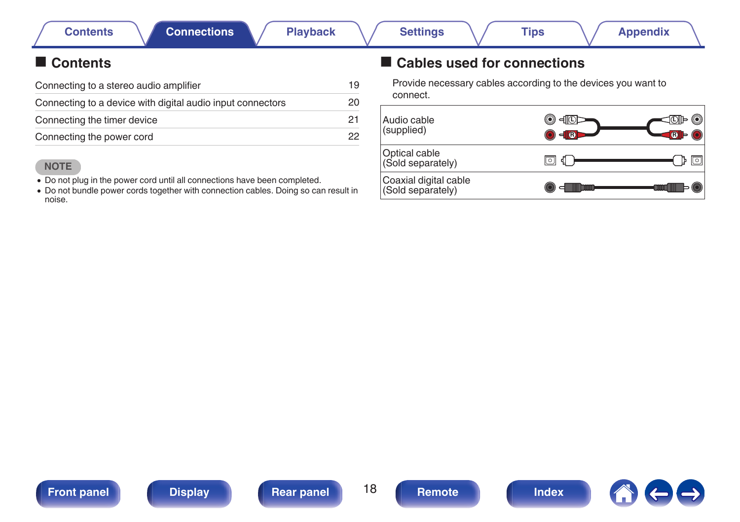## <span id="page-17-0"></span>**Contents**

| Connecting to a stereo audio amplifier                     |    |
|------------------------------------------------------------|----|
| Connecting to a device with digital audio input connectors | 20 |
| Connecting the timer device                                | 21 |
| Connecting the power cord                                  | 22 |

### **NOTE**

- Do not plug in the power cord until all connections have been completed.
- Do not bundle power cords together with connection cables. Doing so can result in noise.

## ■ Cables used for connections

Provide necessary cables according to the devices you want to connect.





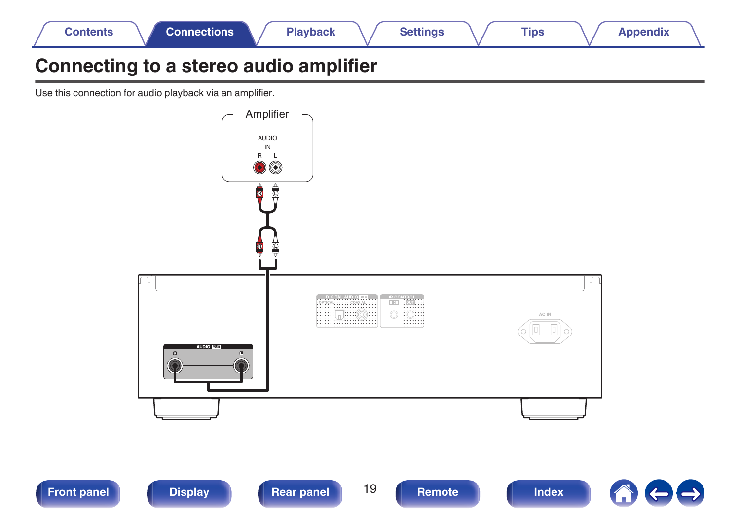<span id="page-18-0"></span>

## **Connecting to a stereo audio amplifier**

Use this connection for audio playback via an amplifier.





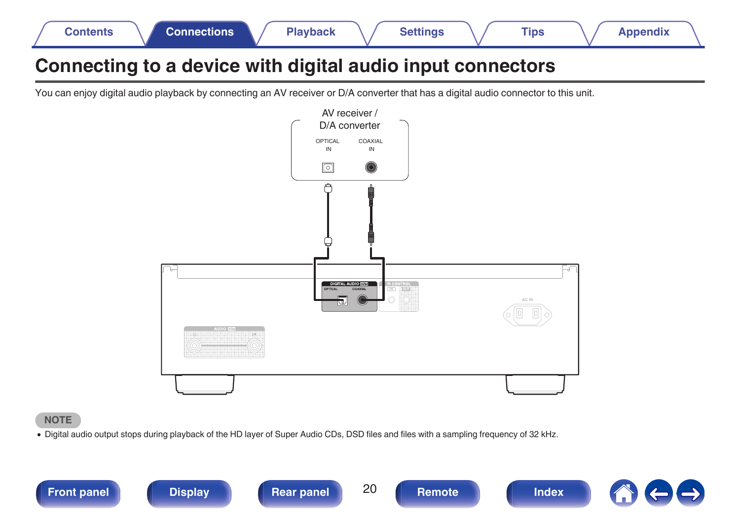<span id="page-19-0"></span>

| <b>Connections</b><br>Contents | Playback | <b>Settings</b> | Tips | Appendix |
|--------------------------------|----------|-----------------|------|----------|
|--------------------------------|----------|-----------------|------|----------|

## **Connecting to a device with digital audio input connectors**

You can enjoy digital audio playback by connecting an AV receiver or D/A converter that has a digital audio connector to this unit.



#### **NOTE**

0 Digital audio output stops during playback of the HD layer of Super Audio CDs, DSD files and files with a sampling frequency of 32 kHz.







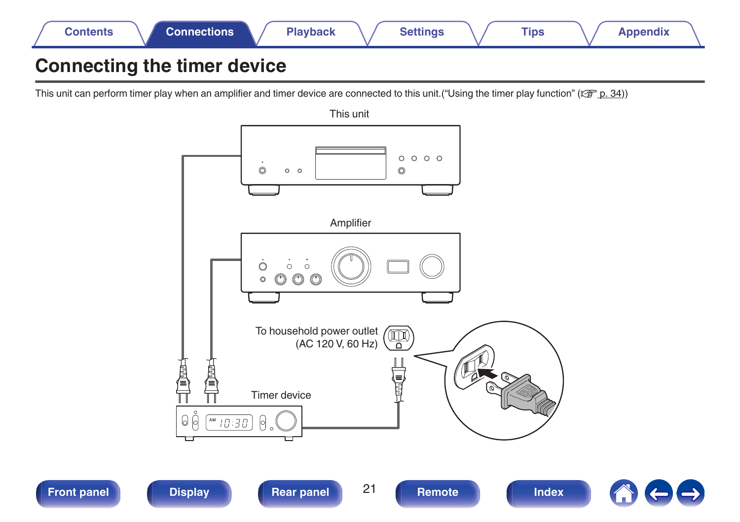<span id="page-20-0"></span>

## **Connecting the timer device**

This unit can perform timer play when an amplifier and timer device are connected to this unit. ["Using the timer play function" \(](#page-33-0) $\mathbb{Z}$  p. 34))

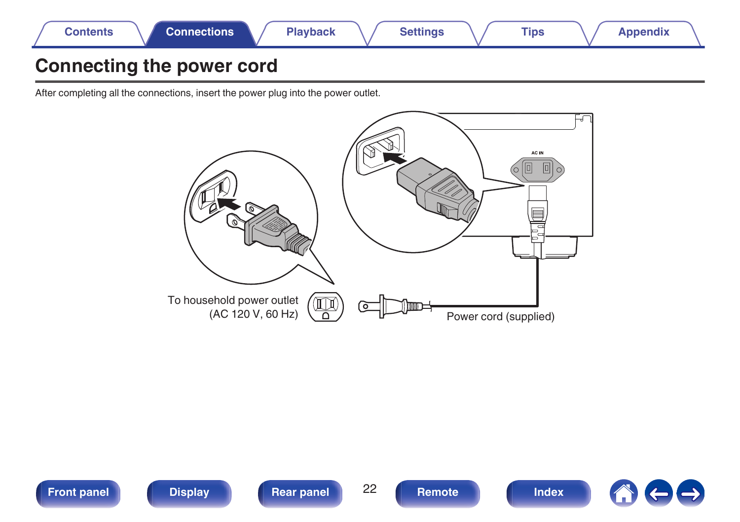<span id="page-21-0"></span>

## **Connecting the power cord**

After completing all the connections, insert the power plug into the power outlet.



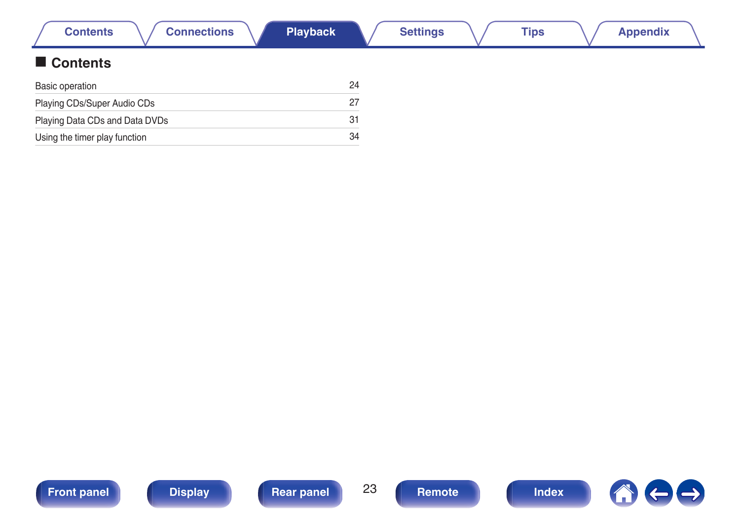<span id="page-22-0"></span>

| <b>Connections</b><br><b>Contents</b> | <b>Playback</b> | <b>Settings</b> | <b>Tips</b> | <b>Appendix</b> |  |
|---------------------------------------|-----------------|-----------------|-------------|-----------------|--|
| Contents                              |                 |                 |             |                 |  |
| Basic operation                       | 24              |                 |             |                 |  |
| Playing CDs/Super Audio CDs           | 27              |                 |             |                 |  |
| Playing Data CDs and Data DVDs        | 31              |                 |             |                 |  |
| Using the timer play function         | 34              |                 |             |                 |  |

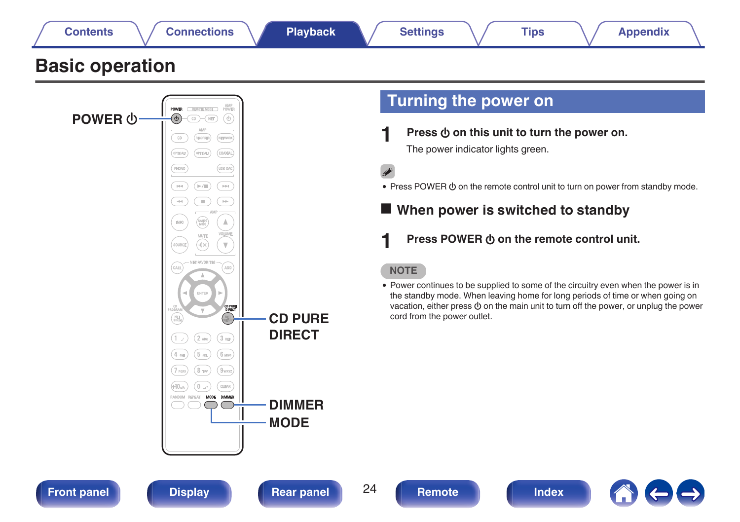<span id="page-23-0"></span>

• Press POWER  $\Phi$  on the remote control unit to turn on power from standby mode.

**When power is switched to standby** 

**Press POWER**  $\Phi$  **on the remote control unit.** 

**NOTE**

• Power continues to be supplied to some of the circuitry even when the power is in the standby mode. When leaving home for long periods of time or when going on vacation, either press  $\Phi$  on the main unit to turn off the power, or unplug the power cord from the power outlet.

 $\overline{\rm HI}$  $\sqrt{\mathbb{P}/\mathbb{H}}$ **THE** 

 $\Rightarrow$ Œ  $\overline{\phantom{a}}$ 

**INFO** 

 $_{\text{GALL}}$ )

 $1 \pi$  $(4 \text{ cm})$  $(5m)$  $6 \text{ m}$ 

7 ross

 $\triangle$ 

ADD

CD PURE<br>DIRECT

CLEAR

ัผ×  $\mathbb {V}$ 

ENTE

 $(2 \text{ m})$  $\sqrt{3}$  DEF

 $(8<sub>TV</sub>)$  $9$ wayz

**MODE**

**DIMMER**

**CD PURE DIRECT**

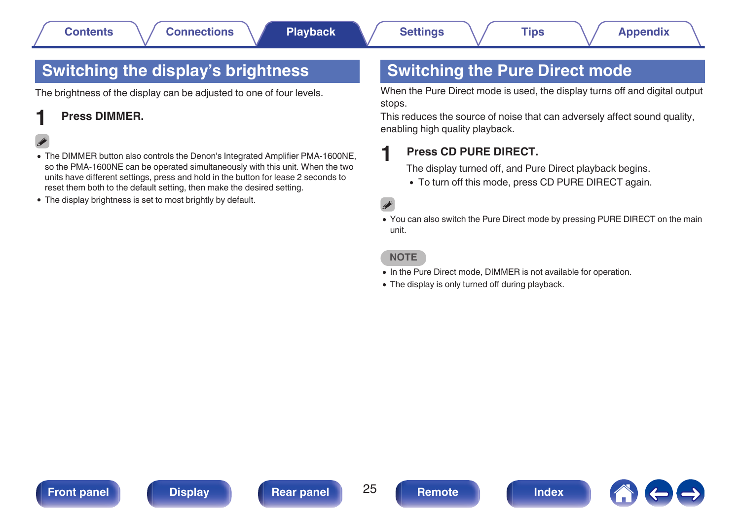## <span id="page-24-0"></span>**Switching the display's brightness**

The brightness of the display can be adjusted to one of four levels.

### **1 Press DIMMER.**

- The DIMMER button also controls the Denon's Integrated Amplifier PMA-1600NE. so the PMA-1600NE can be operated simultaneously with this unit. When the two units have different settings, press and hold in the button for lease 2 seconds to reset them both to the default setting, then make the desired setting.
- The display brightness is set to most brightly by default.

## **Switching the Pure Direct mode**

When the Pure Direct mode is used, the display turns off and digital output stops.

This reduces the source of noise that can adversely affect sound quality, enabling high quality playback.

### **1 Press CD PURE DIRECT.**

The display turned off, and Pure Direct playback begins.

• To turn off this mode, press CD PURE DIRECT again.

### $\overline{\mathscr{L}}$

• You can also switch the Pure Direct mode by pressing PURE DIRECT on the main unit.

#### **NOTE**

- In the Pure Direct mode, DIMMER is not available for operation.
- The display is only turned off during playback.



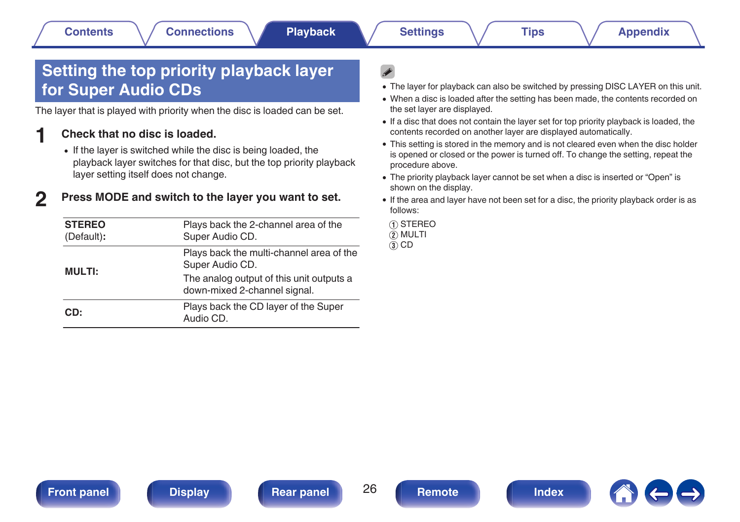## <span id="page-25-0"></span>**Setting the top priority playback layer for Super Audio CDs**

The layer that is played with priority when the disc is loaded can be set.

### **1 Check that no disc is loaded.**

• If the layer is switched while the disc is being loaded, the playback layer switches for that disc, but the top priority playback layer setting itself does not change.

## **2 Press MODE and switch to the layer you want to set.**

| <b>STEREO</b><br>(Default): | Plays back the 2-channel area of the<br>Super Audio CD.                  |  |  |  |
|-----------------------------|--------------------------------------------------------------------------|--|--|--|
| <b>MULTI:</b>               | Plays back the multi-channel area of the<br>Super Audio CD.              |  |  |  |
|                             | The analog output of this unit outputs a<br>down-mixed 2-channel signal. |  |  |  |
| CD:                         | Plays back the CD layer of the Super<br>Audio CD.                        |  |  |  |

- The layer for playback can also be switched by pressing DISC LAYER on this unit.
- When a disc is loaded after the setting has been made, the contents recorded on the set layer are displayed.
- 0 If a disc that does not contain the layer set for top priority playback is loaded, the contents recorded on another layer are displayed automatically.
- This setting is stored in the memory and is not cleared even when the disc holder is opened or closed or the power is turned off. To change the setting, repeat the procedure above.
- The priority playback layer cannot be set when a disc is inserted or "Open" is shown on the display.
- 0 If the area and layer have not been set for a disc, the priority playback order is as follows:

A STEREO  $\overline{2}$  MULTI

 $\overline{3}$  CD





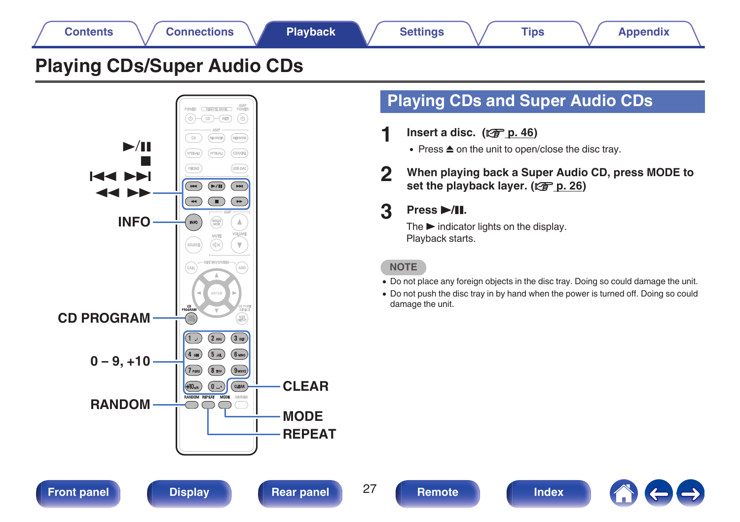## **[Contents](#page-1-0)**  $\setminus$  [Connections](#page-17-0) **A** [Playback](#page-22-0) **A** [Settings](#page-34-0)  $\setminus$  [Tips](#page-35-0)  $\setminus$  [Appendix](#page-41-0)

## <span id="page-26-0"></span>**Playing CDs/Super Audio CDs**



## **Playing CDs and Super Audio CDs**

- **Insert a disc.** ( $\sqrt{p}$  [p. 46\)](#page-45-0)
	- $\bullet$  Press  $\triangle$  on the unit to open/close the disc tray.
- **2 When playing back a Super Audio CD, press MODE to** set the playback layer. ( $\sqrt{p}$  [p. 26\)](#page-25-0)

## **3 Press** 1**/**3**.**

The  $\blacktriangleright$  indicator lights on the display. Playback starts.

**NOTE**

- Do not place any foreign objects in the disc tray. Doing so could damage the unit.
- Do not push the disc tray in by hand when the power is turned off. Doing so could damage the unit.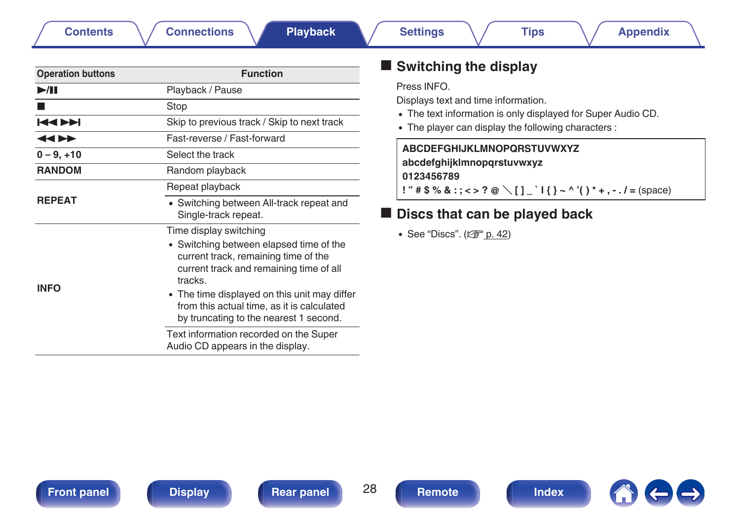|  | Remote |  |
|--|--------|--|
|  |        |  |

<span id="page-27-0"></span>

| <b>Function</b>                                                                                                                                                                                                                                                                                                                                                                       |  |  |  |
|---------------------------------------------------------------------------------------------------------------------------------------------------------------------------------------------------------------------------------------------------------------------------------------------------------------------------------------------------------------------------------------|--|--|--|
| Playback / Pause                                                                                                                                                                                                                                                                                                                                                                      |  |  |  |
| Stop                                                                                                                                                                                                                                                                                                                                                                                  |  |  |  |
| Skip to previous track / Skip to next track                                                                                                                                                                                                                                                                                                                                           |  |  |  |
| Fast-reverse / Fast-forward                                                                                                                                                                                                                                                                                                                                                           |  |  |  |
| Select the track                                                                                                                                                                                                                                                                                                                                                                      |  |  |  |
| Random playback                                                                                                                                                                                                                                                                                                                                                                       |  |  |  |
| Repeat playback                                                                                                                                                                                                                                                                                                                                                                       |  |  |  |
| • Switching between All-track repeat and<br>Single-track repeat.                                                                                                                                                                                                                                                                                                                      |  |  |  |
| Time display switching<br>• Switching between elapsed time of the<br>current track, remaining time of the<br>current track and remaining time of all<br>tracks.<br>• The time displayed on this unit may differ<br>from this actual time, as it is calculated<br>by truncating to the nearest 1 second.<br>Text information recorded on the Super<br>Audio CD appears in the display. |  |  |  |
|                                                                                                                                                                                                                                                                                                                                                                                       |  |  |  |

## $\blacksquare$  Switching the display

#### Press INFO.

Displays text and time information.

- The text information is only displayed for Super Audio CD.
- The player can display the following characters :

## **ABCDEFGHIJKLMNOPQRSTUVWXYZ abcdefghijklmnopqrstuvwxyz**

**0123456789**

**!** " # \$ % & :; <> ? @ \[ ] \_ ` | { } ~ ^ '( ) \* + , - . / = (space)

## ■ Discs that can be played back

 $\bullet$  See "Discs". ( $\sqrt{2}$  [p. 42\)](#page-41-0)

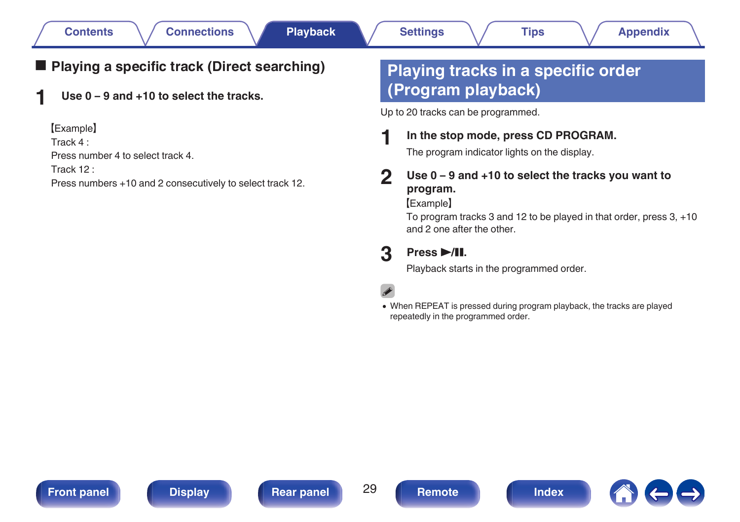## <span id="page-28-0"></span>■ Playing a specific track (Direct searching)

**1 Use 0 – 9 and +10 to select the tracks.**

[Example]

Track 4 :

Press number 4 to select track 4.

Track 12 :

Press numbers +10 and 2 consecutively to select track 12.

## **Playing tracks in a specific order (Program playback)**

Up to 20 tracks can be programmed.

### **1 In the stop mode, press CD PROGRAM.**

The program indicator lights on the display.

### **2 Use 0 – 9 and +10 to select the tracks you want to program.**

[Example]

To program tracks 3 and 12 to be played in that order, press 3, +10 and 2 one after the other.

## **3 Press** 1**/**3**.**

Playback starts in the programmed order.

0 When REPEAT is pressed during program playback, the tracks are played repeatedly in the programmed order.





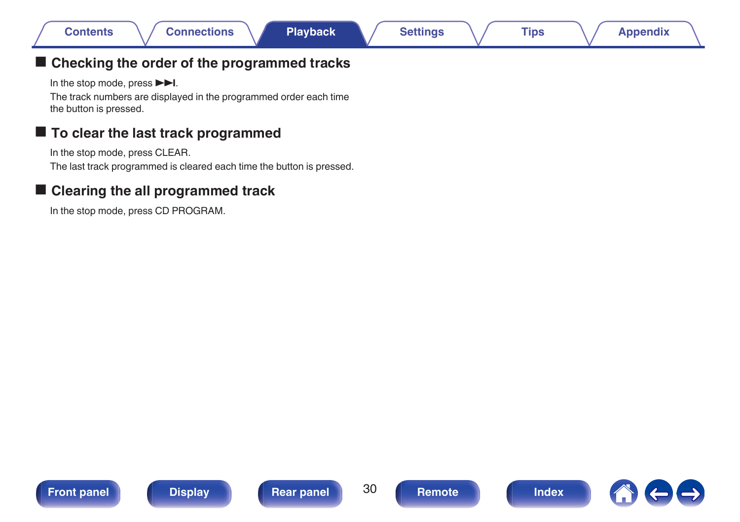## <span id="page-29-0"></span>■ Checking the order of the programmed tracks

In the stop mode, press  $\blacktriangleright$ I.

The track numbers are displayed in the programmed order each time the button is pressed.

## ■ To clear the last track programmed

In the stop mode, press CLEAR.

The last track programmed is cleared each time the button is pressed.

## ■ Clearing the all programmed track

In the stop mode, press CD PROGRAM.







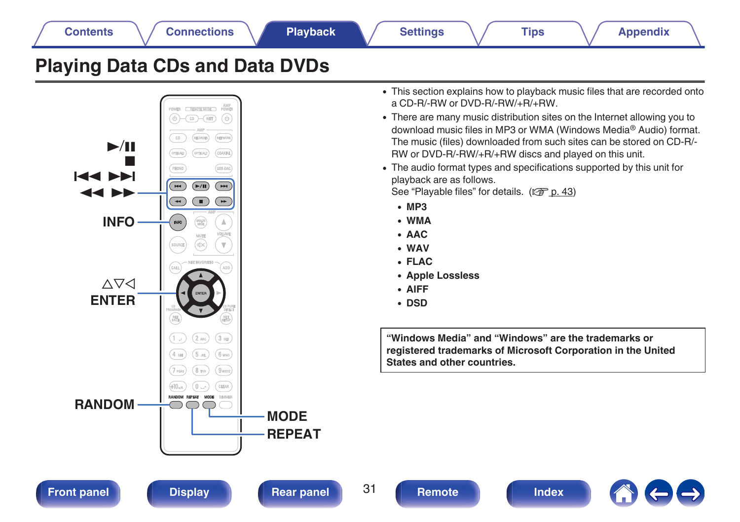<span id="page-30-0"></span>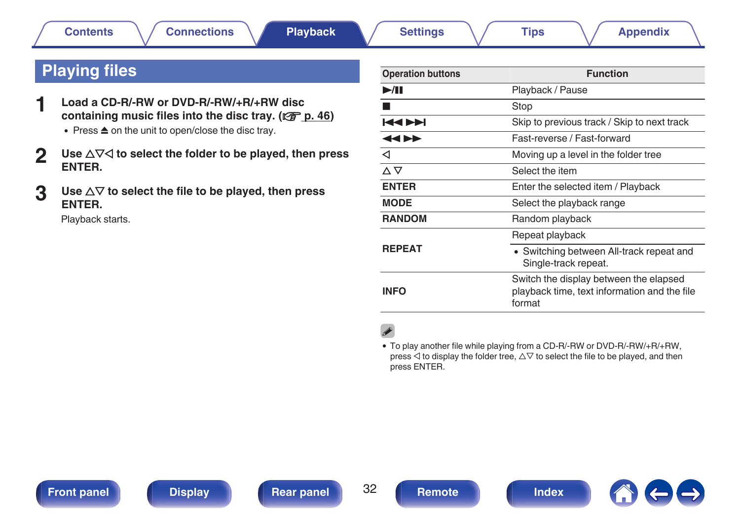## <span id="page-31-0"></span>**Playing files**

- **1 Load a CD-R/-RW or DVD-R/-RW/+R/+RW disc** containing music files into the disc tray. ( $\sqrt{p}$  [p. 46\)](#page-45-0)
	- $\bullet$  Press  $\triangle$  on the unit to open/close the disc tray.
- **2** Use ∆∇⊲ to select the folder to be played, then press **ENTER.**
- **3** Use  $\Delta \nabla$  to select the file to be played, then press **ENTER.**

Playback starts.

| <b>Operation buttons</b>  | <b>Function</b>                                                                                  |
|---------------------------|--------------------------------------------------------------------------------------------------|
| $\blacktriangleright$ /II | Playback / Pause                                                                                 |
|                           | Stop                                                                                             |
| <b>KIN</b>                | Skip to previous track / Skip to next track                                                      |
| 44 DD                     | Fast-reverse / Fast-forward                                                                      |
| ◁                         | Moving up a level in the folder tree                                                             |
| △▽                        | Select the item                                                                                  |
| <b>ENTER</b>              | Enter the selected item / Playback                                                               |
| <b>MODE</b>               | Select the playback range                                                                        |
| <b>RANDOM</b>             | Random playback                                                                                  |
|                           | Repeat playback                                                                                  |
| <b>REPEAT</b>             | • Switching between All-track repeat and<br>Single-track repeat.                                 |
| INFO                      | Switch the display between the elapsed<br>playback time, text information and the file<br>format |

0 To play another file while playing from a CD-R/-RW or DVD-R/-RW/+R/+RW, press  $\triangle$  to display the folder tree,  $\triangle \nabla$  to select the file to be played, and then press ENTER.



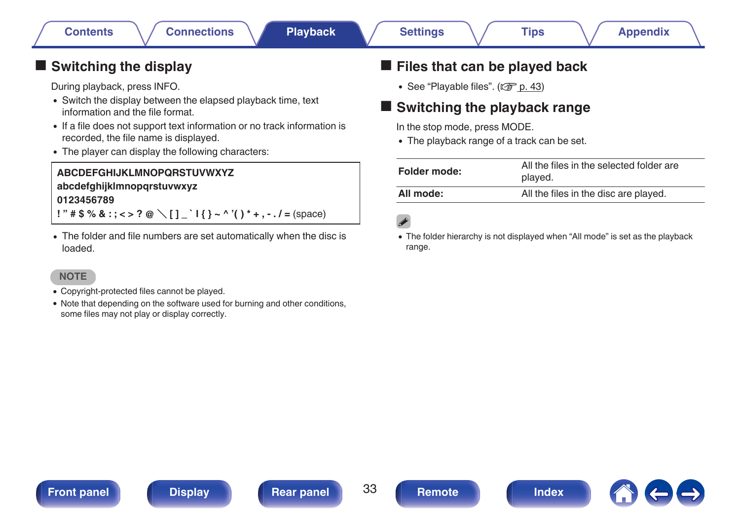## <span id="page-32-0"></span> $\blacksquare$  Switching the display

During playback, press INFO.

- Switch the display between the elapsed playback time, text information and the file format.
- If a file does not support text information or no track information is recorded, the file name is displayed.
- The player can display the following characters:

### **ABCDEFGHIJKLMNOPQRSTUVWXYZ abcdefghijklmnopqrstuvwxyz 0123456789 !** "  $\sharp$  \$ % & : ; < > ? @ \ [ ] ` | { } ~ ^ '( ) \* + . - . / = (space)

• The folder and file numbers are set automatically when the disc is loaded.

### **NOTE**

- 0 Copyright-protected files cannot be played.
- Note that depending on the software used for burning and other conditions, some files may not play or display correctly.

## **Files that can be played back**

 $\bullet$  See "Playable files". ( $\sqrt{PT}$  [p. 43\)](#page-42-0)

## **Switching the playback range**

- In the stop mode, press MODE.
- The playback range of a track can be set.

| All the files in the selected folder are<br>played. |
|-----------------------------------------------------|
| All the files in the disc are played.               |
|                                                     |

• The folder hierarchy is not displayed when "All mode" is set as the playback range.





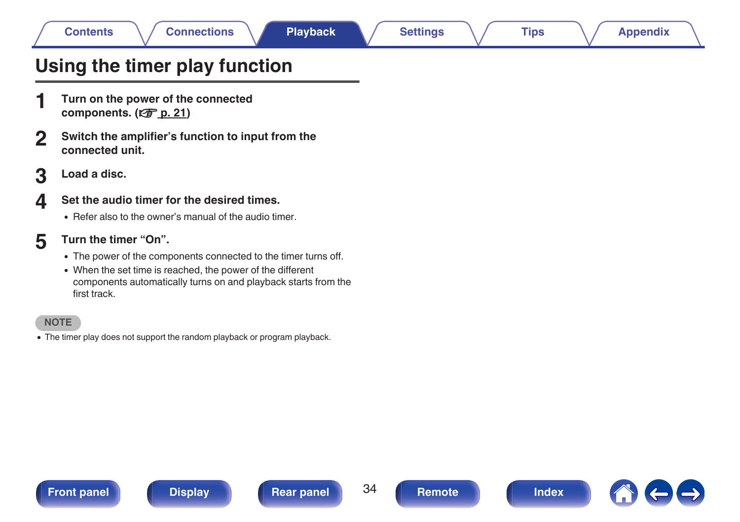## <span id="page-33-0"></span>**Using the timer play function**

- **1 Turn on the power of the connected** components. ( $\sqrt{F}$  [p. 21\)](#page-20-0)
- **2 Switch the amplifier's function to input from the connected unit.**
- **3 Load a disc.**

### **4 Set the audio timer for the desired times.**

- Refer also to the owner's manual of the audio timer.
- **5 Turn the timer "On".**
	- The power of the components connected to the timer turns off.
	- When the set time is reached, the power of the different components automatically turns on and playback starts from the first track.

#### **NOTE**

• The timer play does not support the random playback or program playback.

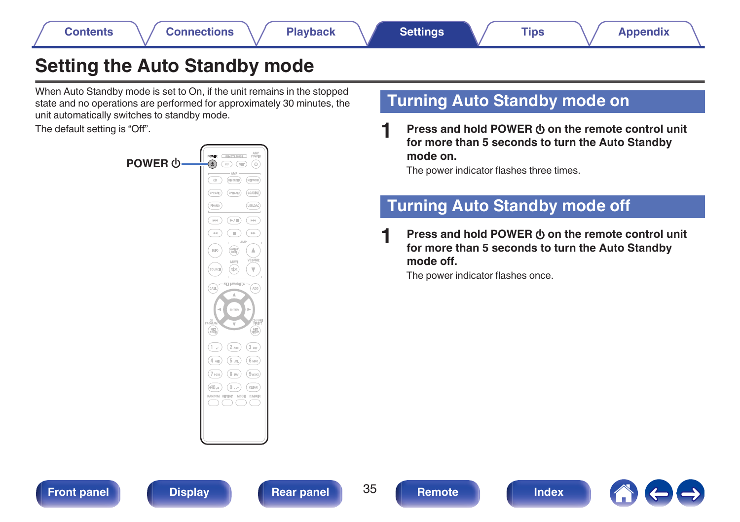## <span id="page-34-0"></span>**Setting the Auto Standby mode**

When Auto Standby mode is set to On, if the unit remains in the stopped state and no operations are performed for approximately 30 minutes, the unit automatically switches to standby mode.

The default setting is "Off".



## **Turning Auto Standby mode on**

**Press and hold POWER**  $\phi$  **on the remote control unit for more than 5 seconds to turn the Auto Standby mode on.**

The power indicator flashes three times.

## **Turning Auto Standby mode off**

**Press and hold POWER**  $\phi$  **on the remote control unit for more than 5 seconds to turn the Auto Standby mode off.**

The power indicator flashes once.

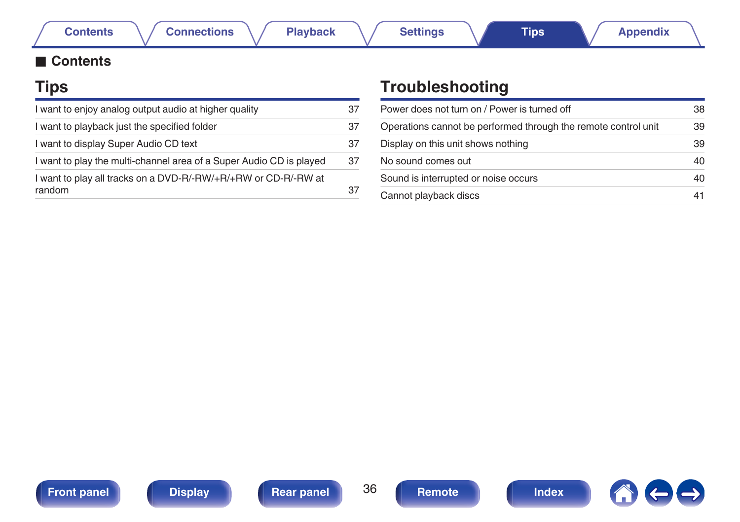## <span id="page-35-0"></span>**■ Contents**

## **Tips**

| I want to enjoy analog output audio at higher quality               | 37 |
|---------------------------------------------------------------------|----|
| I want to playback just the specified folder                        | 37 |
| I want to display Super Audio CD text                               | 37 |
| I want to play the multi-channel area of a Super Audio CD is played | 37 |
| I want to play all tracks on a DVD-R/-RW/+R/+RW or CD-R/-RW at      |    |
| random                                                              | 37 |

## **Troubleshooting**

| Power does not turn on / Power is turned off                   | 38 |
|----------------------------------------------------------------|----|
| Operations cannot be performed through the remote control unit | 39 |
| Display on this unit shows nothing                             | 39 |
| No sound comes out                                             | 40 |
| Sound is interrupted or noise occurs                           | 40 |
| Cannot playback discs                                          | 41 |





 $\leftarrow \rightarrow$ 

**1** 

**[Contents](#page-1-0) [Connections](#page-17-0) Connections [Playback](#page-22-0) [Settings](#page-34-0) Tips [Appendix](#page-41-0)**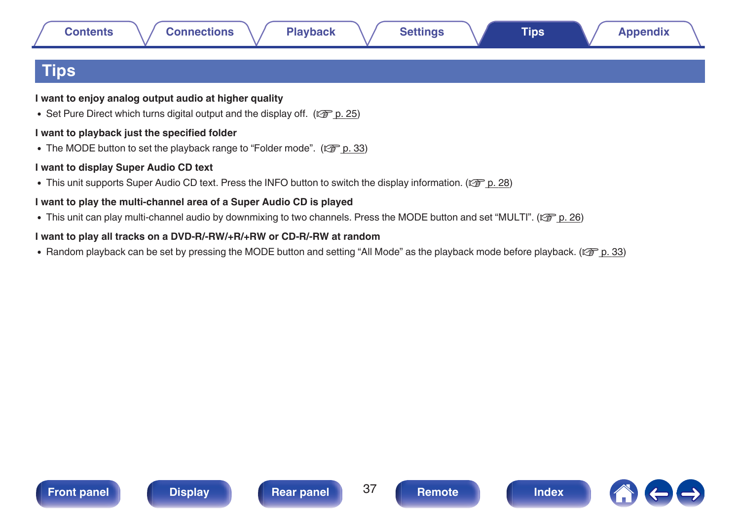## <span id="page-36-0"></span>**Tips**

**I want to enjoy analog output audio at higher quality**

• Set Pure Direct which turns digital output and the display off. ( $\mathbb{Q}_p^*$  [p. 25\)](#page-24-0)

### **I want to playback just the specified folder**

• The MODE button to set the playback range to "Folder mode". ( $\mathbb{Q}$  [p. 33\)](#page-32-0)

#### **I want to display Super Audio CD text**

• This unit supports Super Audio CD text. Press the INFO button to switch the display information. ( $\mathbb{Z}$  [p. 28\)](#page-27-0)

### **I want to play the multi-channel area of a Super Audio CD is played**

• This unit can play multi-channel audio by downmixing to two channels. Press the MODE button and set "MULTI". ( $\mathbb{Z}$ ) ( $\mathbb{Z}$ ) 26)

### **I want to play all tracks on a DVD-R/-RW/+R/+RW or CD-R/-RW at random**

• Random playback can be set by pressing the MODE button and setting "All Mode" as the playback mode before playback. ( $\sqrt{F}$  [p. 33\)](#page-32-0)





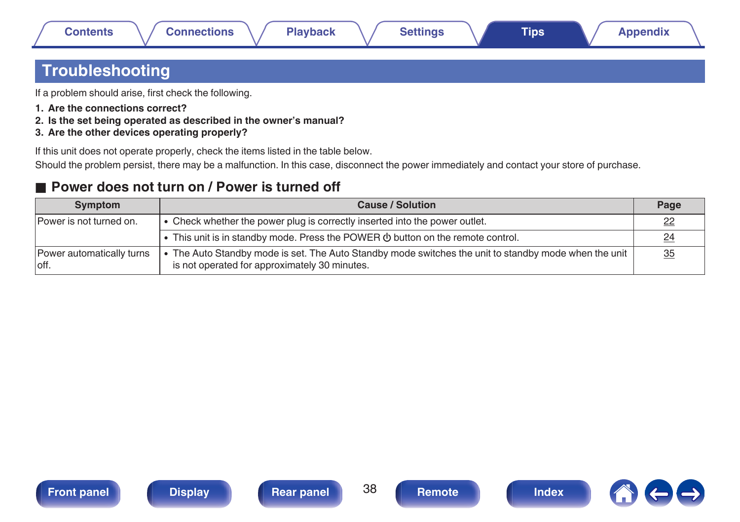## <span id="page-37-0"></span>**Troubleshooting**

If a problem should arise, first check the following.

- **1. Are the connections correct?**
- **2. Is the set being operated as described in the owner's manual?**
- **3. Are the other devices operating properly?**

If this unit does not operate properly, check the items listed in the table below.

Should the problem persist, there may be a malfunction. In this case, disconnect the power immediately and contact your store of purchase.

## ■ Power does not turn on / Power is turned off

| Symptom                            | <b>Cause / Solution</b>                                                                                                                              | Page      |
|------------------------------------|------------------------------------------------------------------------------------------------------------------------------------------------------|-----------|
| Power is not turned on.            | • Check whether the power plug is correctly inserted into the power outlet.                                                                          |           |
|                                    | • This unit is in standby mode. Press the POWER $\Phi$ button on the remote control.                                                                 | $^{24}$   |
| Power automatically turns<br>loff. | The Auto Standby mode is set. The Auto Standby mode switches the unit to standby mode when the unit<br>is not operated for approximately 30 minutes. | <u>35</u> |







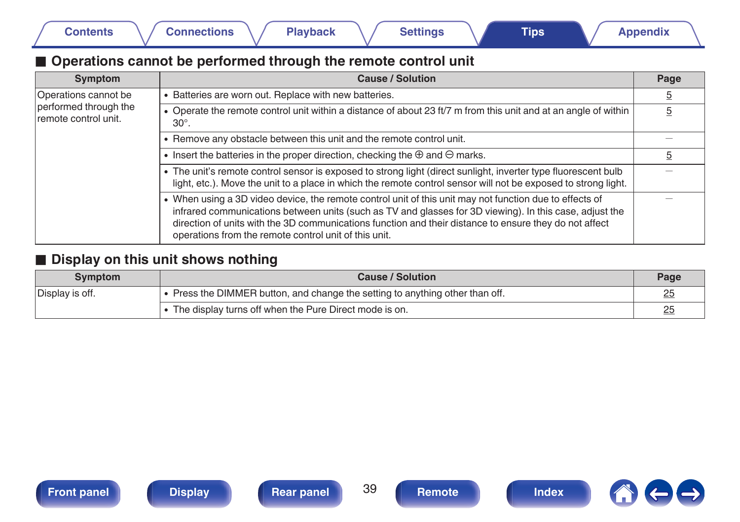## <span id="page-38-0"></span>■ Operations cannot be performed through the remote control unit

| Symptom                                       | <b>Cause / Solution</b>                                                                                                                                                                                                                                                                                                                                                               | Page           |
|-----------------------------------------------|---------------------------------------------------------------------------------------------------------------------------------------------------------------------------------------------------------------------------------------------------------------------------------------------------------------------------------------------------------------------------------------|----------------|
| Operations cannot be                          | • Batteries are worn out. Replace with new batteries.                                                                                                                                                                                                                                                                                                                                 | $\overline{5}$ |
| performed through the<br>remote control unit. | • Operate the remote control unit within a distance of about 23 ft/7 m from this unit and at an angle of within<br>$30^\circ$ .                                                                                                                                                                                                                                                       | 5              |
|                                               | • Remove any obstacle between this unit and the remote control unit.                                                                                                                                                                                                                                                                                                                  |                |
|                                               | • Insert the batteries in the proper direction, checking the $\oplus$ and $\ominus$ marks.                                                                                                                                                                                                                                                                                            | <u>5</u>       |
|                                               | • The unit's remote control sensor is exposed to strong light (direct sunlight, inverter type fluorescent bulb<br>light, etc.). Move the unit to a place in which the remote control sensor will not be exposed to strong light.                                                                                                                                                      |                |
|                                               | • When using a 3D video device, the remote control unit of this unit may not function due to effects of<br>infrared communications between units (such as TV and glasses for 3D viewing). In this case, adjust the<br>direction of units with the 3D communications function and their distance to ensure they do not affect<br>operations from the remote control unit of this unit. |                |

## $\blacksquare$  Display on this unit shows nothing

| Symptom         | Cause / Solution                                                              |    |  |  |
|-----------------|-------------------------------------------------------------------------------|----|--|--|
| Display is off. | • Press the DIMMER button, and change the setting to anything other than off. | 25 |  |  |
|                 | The display turns off when the Pure Direct mode is on.                        | 25 |  |  |





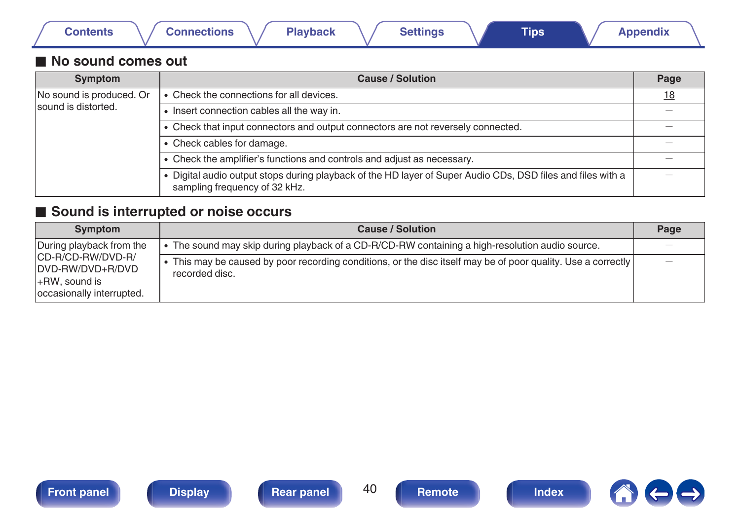<span id="page-39-0"></span>

|  | Contents |  | <b>Connections</b> |  | <b>Playback</b> |  | Settings |  | <b>Tips</b> |  | <b>Appendix</b> |  |
|--|----------|--|--------------------|--|-----------------|--|----------|--|-------------|--|-----------------|--|
|--|----------|--|--------------------|--|-----------------|--|----------|--|-------------|--|-----------------|--|

### ■ No sound comes out

| Symptom                  | <b>Cause / Solution</b>                                                                                                                      | Page |
|--------------------------|----------------------------------------------------------------------------------------------------------------------------------------------|------|
| No sound is produced. Or | • Check the connections for all devices.                                                                                                     | 18   |
| sound is distorted.      | • Insert connection cables all the way in.                                                                                                   |      |
|                          | • Check that input connectors and output connectors are not reversely connected.                                                             |      |
|                          | • Check cables for damage.                                                                                                                   |      |
|                          | • Check the amplifier's functions and controls and adjust as necessary.                                                                      |      |
|                          | . Digital audio output stops during playback of the HD layer of Super Audio CDs, DSD files and files with a<br>sampling frequency of 32 kHz. |      |

## ■ Sound is interrupted or noise occurs

| Symptom                                                                                | <b>Cause / Solution</b>                                                                                                       | Page                            |
|----------------------------------------------------------------------------------------|-------------------------------------------------------------------------------------------------------------------------------|---------------------------------|
| During playback from the                                                               | The sound may skip during playback of a CD-R/CD-RW containing a high-resolution audio source.                                 |                                 |
| ICD-R/CD-RW/DVD-R/<br>IDVD-RW/DVD+R/DVD<br>l+RW. sound is<br>occasionally interrupted. | This may be caused by poor recording conditions, or the disc itself may be of poor quality. Use a correctly<br>recorded disc. | $\hspace{0.1mm}-\hspace{0.1mm}$ |

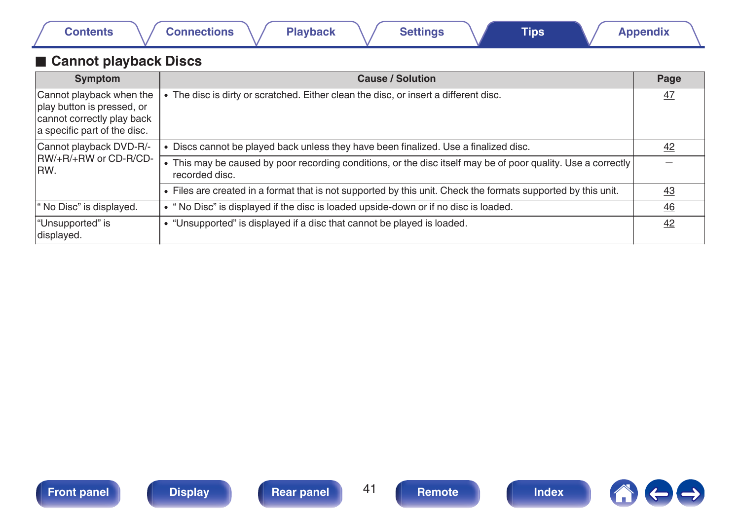<span id="page-40-0"></span>

|  | <b>Contents</b> |  | <b>Connections</b> |  | Playback |  | <b>Settings</b> |  | ⊺ips |  | <b>Appendix</b> |  |
|--|-----------------|--|--------------------|--|----------|--|-----------------|--|------|--|-----------------|--|
|--|-----------------|--|--------------------|--|----------|--|-----------------|--|------|--|-----------------|--|

## **Cannot playback Discs**

| <b>Symptom</b>                                                                                                       | <b>Cause / Solution</b>                                                                                                         | Page            |
|----------------------------------------------------------------------------------------------------------------------|---------------------------------------------------------------------------------------------------------------------------------|-----------------|
| Cannot playback when the<br>play button is pressed, or<br>cannot correctly play back<br>a specific part of the disc. | The disc is dirty or scratched. Either clean the disc, or insert a different disc.                                              | $\overline{47}$ |
| Cannot playback DVD-R/-<br>IRW/+R/+RW or CD-R/CD-<br>IRW.                                                            | Discs cannot be played back unless they have been finalized. Use a finalized disc.                                              | 42              |
|                                                                                                                      | • This may be caused by poor recording conditions, or the disc itself may be of poor quality. Use a correctly<br>recorded disc. |                 |
|                                                                                                                      | • Files are created in a format that is not supported by this unit. Check the formats supported by this unit.                   | <u>43</u>       |
| If No Disc" is displayed.                                                                                            | • "No Disc" is displayed if the disc is loaded upside-down or if no disc is loaded.                                             | $\overline{46}$ |
| "Unsupported" is<br>displayed.                                                                                       | • "Unsupported" is displayed if a disc that cannot be played is loaded.                                                         | 42              |



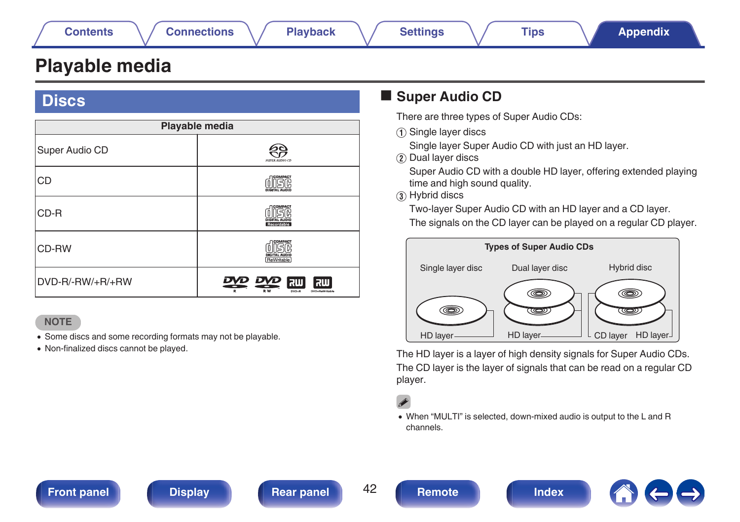## <span id="page-41-0"></span>**Playable media**

## **Discs**

| Playable media   |                                                             |  |  |  |
|------------------|-------------------------------------------------------------|--|--|--|
| Super Audio CD   | SUPER AUDIO CD                                              |  |  |  |
| <b>CD</b>        | COMPACT                                                     |  |  |  |
| CD-R             | COMPACT<br>DIGITAL AUDIO<br>Recordable                      |  |  |  |
| CD-RW            | COMPACT<br>DIGITAL AUDIO<br>ReWritable                      |  |  |  |
| DVD-R/-RW/+R/+RW | 0 סעס<br>RW<br>RШ<br><b>RW</b><br>$DVD+R$<br>DVD+ReWriteble |  |  |  |

#### **NOTE**

- Some discs and some recording formats may not be playable.
- 0 Non-finalized discs cannot be played.

## ■ Super Audio CD

There are three types of Super Audio CDs:

A Single layer discs

Single layer Super Audio CD with just an HD layer.

(2) Dual layer discs

Super Audio CD with a double HD layer, offering extended playing time and high sound quality.

(3) Hybrid discs

Two-layer Super Audio CD with an HD layer and a CD layer. The signals on the CD layer can be played on a regular CD player.



The HD layer is a layer of high density signals for Super Audio CDs. The CD layer is the layer of signals that can be read on a regular CD player.

0 When "MULTI" is selected, down-mixed audio is output to the L and R channels.

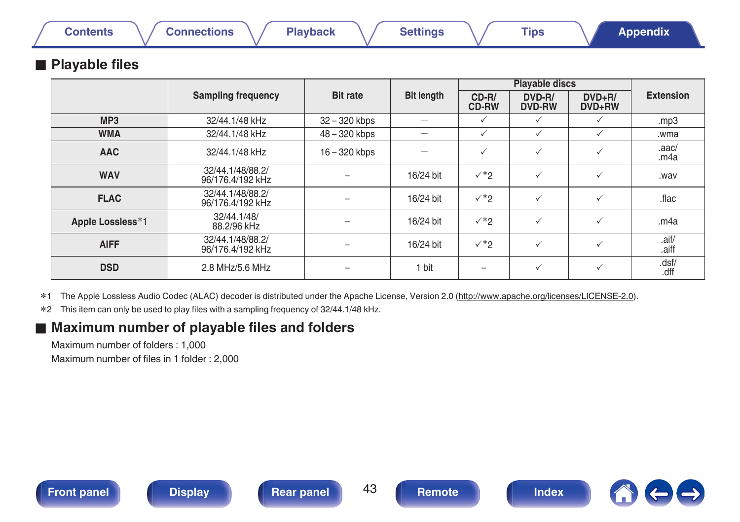## <span id="page-42-0"></span>**Playable files**

|                  |                                      |                 |                   |                         | <b>Playable discs</b>   |                      |                  |  |
|------------------|--------------------------------------|-----------------|-------------------|-------------------------|-------------------------|----------------------|------------------|--|
|                  | <b>Sampling frequency</b>            | <b>Bit rate</b> | <b>Bit length</b> | $CD-R/$<br><b>CD-RW</b> | DVD-R/<br><b>DVD-RW</b> | $DVD + R/$<br>DVD+RW | <b>Extension</b> |  |
| MP <sub>3</sub>  | 32/44.1/48 kHz                       | 32 - 320 kbps   |                   | $\checkmark$            | $\checkmark$            | $\checkmark$         | .mp3             |  |
| <b>WMA</b>       | 32/44.1/48 kHz                       | 48 - 320 kbps   |                   | $\checkmark$            | $\checkmark$            | $\checkmark$         | wma.             |  |
| <b>AAC</b>       | 32/44.1/48 kHz                       | $16 - 320$ kbps |                   | $\checkmark$            | $\checkmark$            | $\checkmark$         | .aac/<br>.m4a    |  |
| <b>WAV</b>       | 32/44.1/48/88.2/<br>96/176.4/192 kHz |                 | 16/24 bit         | $\checkmark^*$          | $\checkmark$            | $\checkmark$         | .wav             |  |
| <b>FLAC</b>      | 32/44.1/48/88.2/<br>96/176.4/192 kHz |                 | 16/24 bit         | $\checkmark^*$          | $\checkmark$            | $\checkmark$         | .flac            |  |
| Apple Lossless*1 | 32/44.1/48/<br>88.2/96 kHz           |                 | 16/24 bit         | $\checkmark^*$          | $\checkmark$            | $\checkmark$         | .m4a             |  |
| <b>AIFF</b>      | 32/44.1/48/88.2/<br>96/176.4/192 kHz |                 | 16/24 bit         | $\checkmark^*2$         | $\checkmark$            | $\checkmark$         | .aif/<br>.aiff   |  |
| <b>DSD</b>       | 2.8 MHz/5.6 MHz                      |                 | 1 bit             |                         | $\checkmark$            | $\checkmark$         | .dsf/<br>.dff    |  |

z1 The Apple Lossless Audio Codec (ALAC) decoder is distributed under the Apache License, Version 2.0 (http://www.apache.org/licenses/LICENSE-2.0).

z2 This item can only be used to play files with a sampling frequency of 32/44.1/48 kHz.

## **■ Maximum number of playable files and folders**

Maximum number of folders : 1,000 Maximum number of files in 1 folder : 2,000

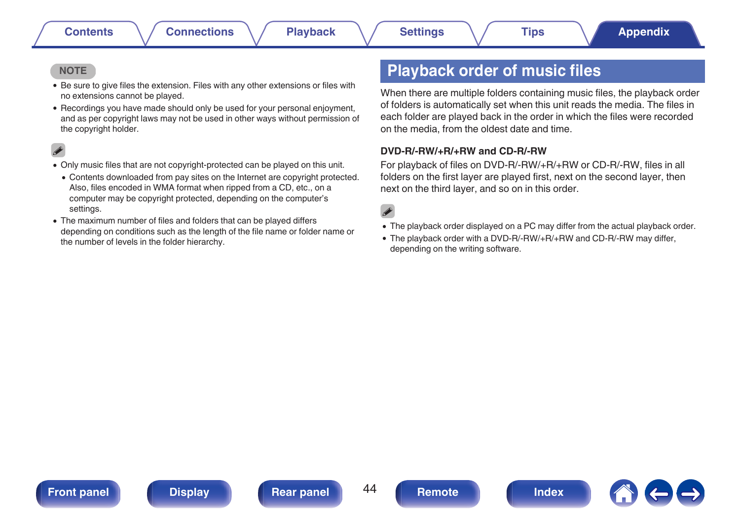#### <span id="page-43-0"></span>**NOTE**

- 0 Be sure to give files the extension. Files with any other extensions or files with no extensions cannot be played.
- 0 Recordings you have made should only be used for your personal enjoyment, and as per copyright laws may not be used in other ways without permission of the copyright holder.

- 0 Only music files that are not copyright-protected can be played on this unit.
	- Contents downloaded from pay sites on the Internet are copyright protected. Also, files encoded in WMA format when ripped from a CD, etc., on a computer may be copyright protected, depending on the computer's settings.
- 0 The maximum number of files and folders that can be played differs depending on conditions such as the length of the file name or folder name or the number of levels in the folder hierarchy.

## **Playback order of music files**

When there are multiple folders containing music files, the playback order of folders is automatically set when this unit reads the media. The files in each folder are played back in the order in which the files were recorded on the media, from the oldest date and time.

#### **DVD-R/-RW/+R/+RW and CD-R/-RW**

For playback of files on DVD-R/-RW/+R/+RW or CD-R/-RW, files in all folders on the first layer are played first, next on the second layer, then next on the third layer, and so on in this order.

## $\overline{\mathscr{L}}$

- The playback order displayed on a PC may differ from the actual playback order.
- The playback order with a DVD-R/-RW/+R/+RW and CD-R/-RW may differ, depending on the writing software.







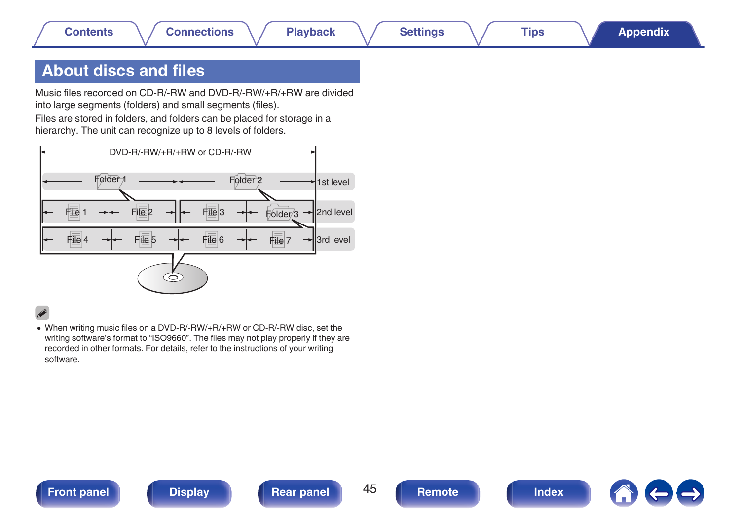## <span id="page-44-0"></span>**About discs and files**

Music files recorded on CD-R/-RW and DVD-R/-RW/+R/+RW are divided into large segments (folders) and small segments (files).

Files are stored in folders, and folders can be placed for storage in a hierarchy. The unit can recognize up to 8 levels of folders.



• When writing music files on a DVD-R/-RW/+R/+RW or CD-R/-RW disc, set the writing software's format to "ISO9660". The files may not play properly if they are recorded in other formats. For details, refer to the instructions of your writing software.



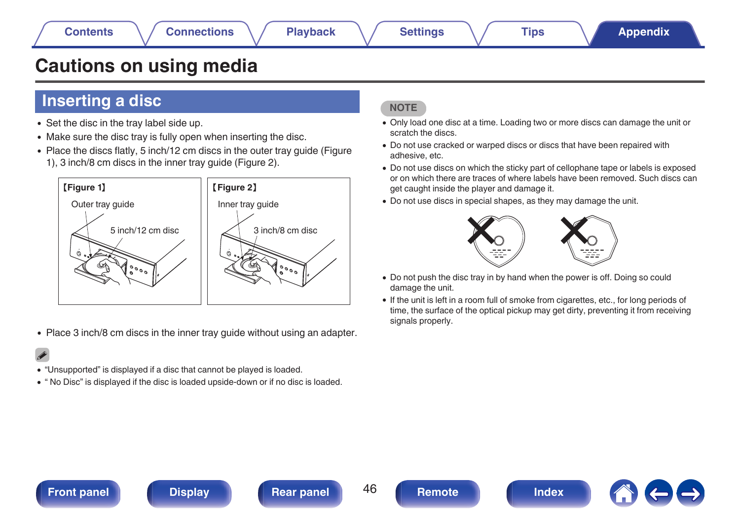## <span id="page-45-0"></span>**Cautions on using media**

## **Inserting a disc**

- Set the disc in the tray label side up.
- Make sure the disc tray is fully open when inserting the disc.
- Place the discs flatly, 5 inch/12 cm discs in the outer tray guide (Figure 1), 3 inch/8 cm discs in the inner tray guide (Figure 2).



• Place 3 inch/8 cm discs in the inner tray guide without using an adapter.

- 0 "Unsupported" is displayed if a disc that cannot be played is loaded.
- 0 " No Disc" is displayed if the disc is loaded upside-down or if no disc is loaded.

#### **NOTE**

- 0 Only load one disc at a time. Loading two or more discs can damage the unit or scratch the discs.
- 0 Do not use cracked or warped discs or discs that have been repaired with adhesive, etc.
- 0 Do not use discs on which the sticky part of cellophane tape or labels is exposed or on which there are traces of where labels have been removed. Such discs can get caught inside the player and damage it.
- Do not use discs in special shapes, as they may damage the unit.



- Do not push the disc tray in by hand when the power is off. Doing so could damage the unit.
- 0 If the unit is left in a room full of smoke from cigarettes, etc., for long periods of time, the surface of the optical pickup may get dirty, preventing it from receiving signals properly.





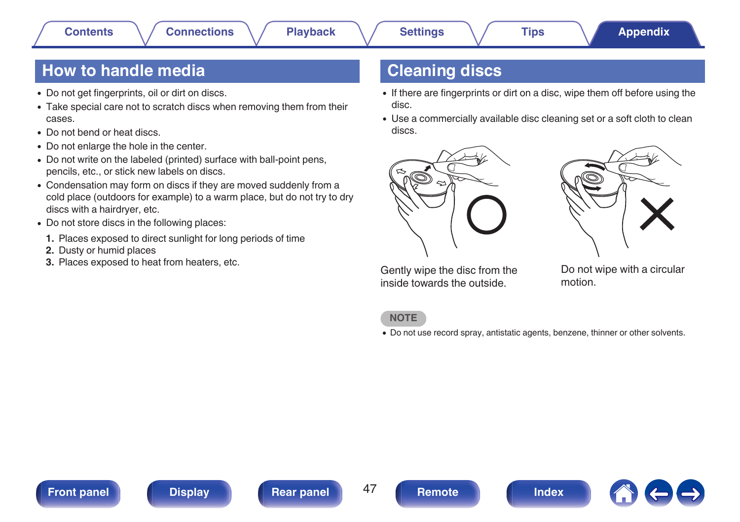## <span id="page-46-0"></span>**How to handle media**

- Do not get fingerprints, oil or dirt on discs.
- Take special care not to scratch discs when removing them from their cases.
- Do not bend or heat discs.
- Do not enlarge the hole in the center.
- Do not write on the labeled (printed) surface with ball-point pens, pencils, etc., or stick new labels on discs.
- Condensation may form on discs if they are moved suddenly from a cold place (outdoors for example) to a warm place, but do not try to dry discs with a hairdryer, etc.
- Do not store discs in the following places:
- **1.** Places exposed to direct sunlight for long periods of time
- **2.** Dusty or humid places
- **3.** Places exposed to heat from heaters, etc.

## **Cleaning discs**

- If there are fingerprints or dirt on a disc, wipe them off before using the disc.
- Use a commercially available disc cleaning set or a soft cloth to clean discs.





Gently wipe the disc from the inside towards the outside.

Do not wipe with a circular motion.

#### **NOTE**

• Do not use record spray, antistatic agents, benzene, thinner or other solvents.





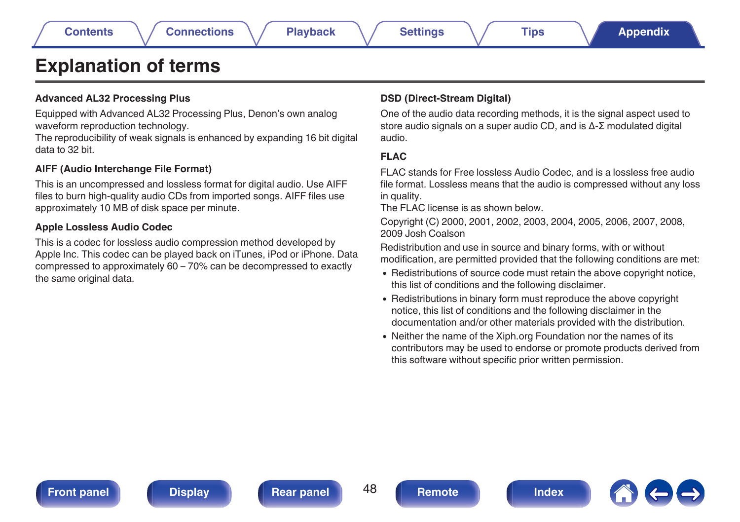## <span id="page-47-0"></span>**Explanation of terms**

#### **Advanced AL32 Processing Plus**

Equipped with Advanced AL32 Processing Plus, Denon's own analog waveform reproduction technology.

The reproducibility of weak signals is enhanced by expanding 16 bit digital data to 32 bit.

#### **AIFF (Audio Interchange File Format)**

This is an uncompressed and lossless format for digital audio. Use AIFF files to burn high-quality audio CDs from imported songs. AIFF files use approximately 10 MB of disk space per minute.

#### **Apple Lossless Audio Codec**

This is a codec for lossless audio compression method developed by Apple Inc. This codec can be played back on iTunes, iPod or iPhone. Data compressed to approximately 60 – 70% can be decompressed to exactly the same original data.

#### **DSD (Direct-Stream Digital)**

One of the audio data recording methods, it is the signal aspect used to store audio signals on a super audio CD, and is Δ-Σ modulated digital audio.

### **FLAC**

FLAC stands for Free lossless Audio Codec, and is a lossless free audio file format. Lossless means that the audio is compressed without any loss in quality.

The FLAC license is as shown below.

Copyright (C) 2000, 2001, 2002, 2003, 2004, 2005, 2006, 2007, 2008, 2009 Josh Coalson

Redistribution and use in source and binary forms, with or without modification, are permitted provided that the following conditions are met:

- Redistributions of source code must retain the above copyright notice, this list of conditions and the following disclaimer.
- Redistributions in binary form must reproduce the above copyright notice, this list of conditions and the following disclaimer in the documentation and/or other materials provided with the distribution.
- Neither the name of the Xiph.org Foundation nor the names of its contributors may be used to endorse or promote products derived from this software without specific prior written permission.



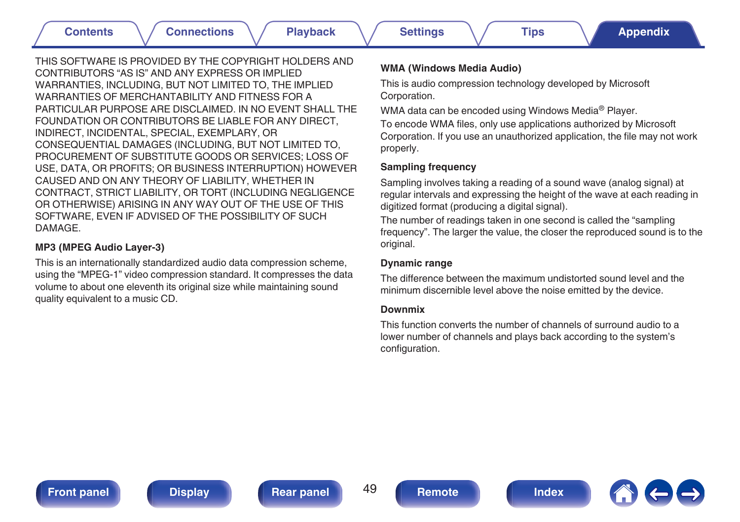THIS SOFTWARE IS PROVIDED BY THE COPYRIGHT HOLDERS AND CONTRIBUTORS "AS IS" AND ANY EXPRESS OR IMPLIED WARRANTIES, INCLUDING, BUT NOT LIMITED TO, THE IMPLIED WARRANTIES OF MERCHANTABILITY AND FITNESS FOR A PARTICULAR PURPOSE ARE DISCLAIMED. IN NO EVENT SHALL THE FOUNDATION OR CONTRIBUTORS BE LIABLE FOR ANY DIRECT, INDIRECT, INCIDENTAL, SPECIAL, EXEMPLARY, OR CONSEQUENTIAL DAMAGES (INCLUDING, BUT NOT LIMITED TO, PROCUREMENT OF SUBSTITUTE GOODS OR SERVICES; LOSS OF USE, DATA, OR PROFITS; OR BUSINESS INTERRUPTION) HOWEVER CAUSED AND ON ANY THEORY OF LIABILITY, WHETHER IN CONTRACT, STRICT LIABILITY, OR TORT (INCLUDING NEGLIGENCE OR OTHERWISE) ARISING IN ANY WAY OUT OF THE USE OF THIS SOFTWARE, EVEN IF ADVISED OF THE POSSIBILITY OF SUCH DAMAGE.

#### **MP3 (MPEG Audio Layer-3)**

This is an internationally standardized audio data compression scheme, using the "MPEG-1" video compression standard. It compresses the data volume to about one eleventh its original size while maintaining sound quality equivalent to a music CD.

#### **WMA (Windows Media Audio)**

This is audio compression technology developed by Microsoft Corporation.

WMA data can be encoded using Windows Media® Player.

To encode WMA files, only use applications authorized by Microsoft Corporation. If you use an unauthorized application, the file may not work properly.

#### **Sampling frequency**

Sampling involves taking a reading of a sound wave (analog signal) at regular intervals and expressing the height of the wave at each reading in digitized format (producing a digital signal).

The number of readings taken in one second is called the "sampling frequency". The larger the value, the closer the reproduced sound is to the original.

#### **Dynamic range**

The difference between the maximum undistorted sound level and the minimum discernible level above the noise emitted by the device.

#### **Downmix**

This function converts the number of channels of surround audio to a lower number of channels and plays back according to the system's configuration.

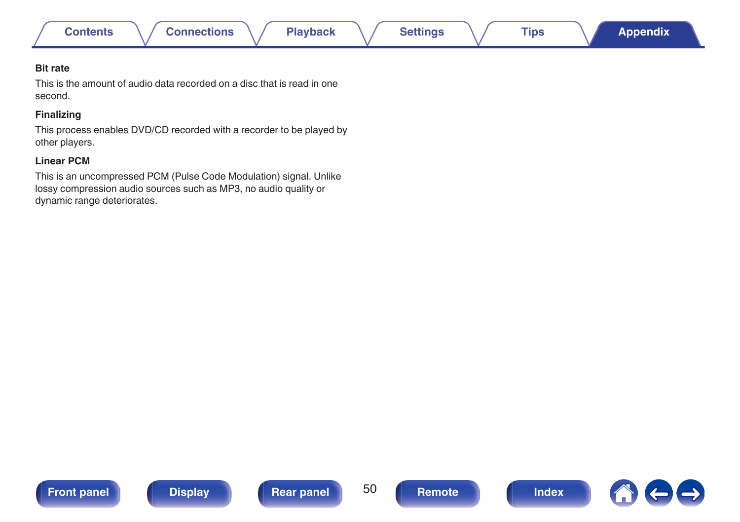

#### **Bit rate**

This is the amount of audio data recorded on a disc that is read in one second.

#### **Finalizing**

This process enables DVD/CD recorded with a recorder to be played by other players.

#### **Linear PCM**

This is an uncompressed PCM (Pulse Code Modulation) signal. Unlike lossy compression audio sources such as MP3, no audio quality or dynamic range deteriorates.







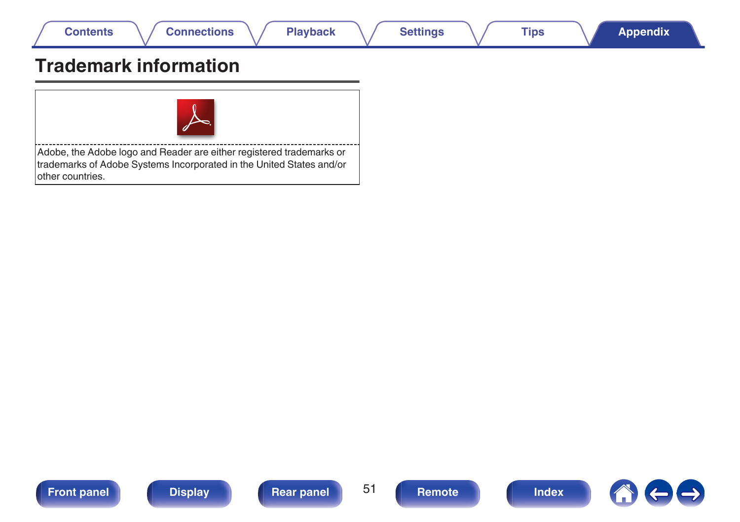<span id="page-50-0"></span>

## **Trademark information**



Adobe, the Adobe logo and Reader are either registered trademarks or trademarks of Adobe Systems Incorporated in the United States and/or other countries.







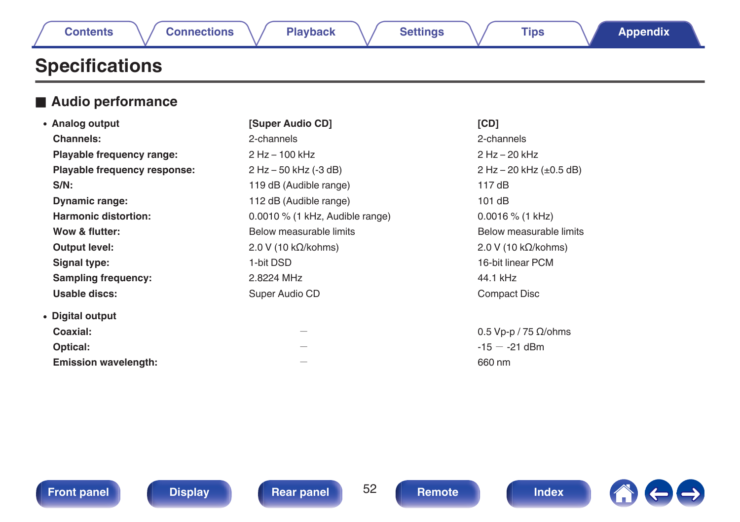|  |  |  | ontents |
|--|--|--|---------|

## <span id="page-51-0"></span>**Specifications**

## **■ Audio performance**

| • Analog output              | [Super Audio CD]                  | [CD]                           |
|------------------------------|-----------------------------------|--------------------------------|
| Channels:                    | 2-channels                        | 2-channels                     |
| Playable frequency range:    | 2 Hz - 100 kHz                    | $2$ Hz $-$ 20 kHz              |
| Playable frequency response: | 2 Hz - 50 kHz (-3 dB)             | 2 Hz – 20 kHz $(\pm 0.5$ dB)   |
| $S/N$ :                      | 119 dB (Audible range)            | 117dB                          |
| <b>Dynamic range:</b>        | 112 dB (Audible range)            | 101dB                          |
| <b>Harmonic distortion:</b>  | $0.0010\%$ (1 kHz, Audible range) | $0.0016\%$ (1 kHz)             |
| Wow & flutter:               | Below measurable limits           | Below measurable limits        |
| Output level:                | $2.0 V (10 k\Omega/kohn)$         | $2.0 V (10 k\Omega/kohn)$      |
| Signal type:                 | 1-bit DSD                         | 16-bit linear PCM              |
| <b>Sampling frequency:</b>   | 2.8224 MHz                        | 44.1 kHz                       |
| Usable discs:                | Super Audio CD                    | Compact Disc                   |
| • Digital output             |                                   |                                |
| Coaxial:                     |                                   | $0.5$ Vp-p / 75 $\Omega$ /ohms |
| Optical:                     |                                   | $-15 - -21$ dBm                |
| <b>Emission wavelength:</b>  |                                   | 660 nm                         |
|                              |                                   |                                |





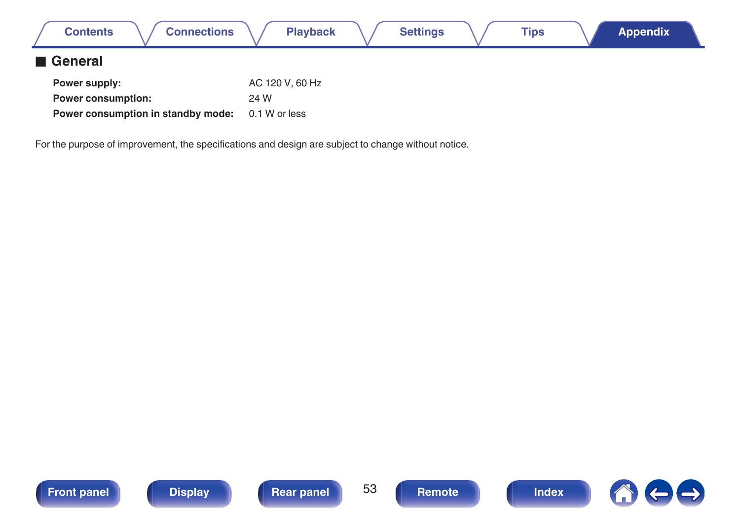| <b>Connections</b><br><b>Contents</b>                           |                       | <b>Playback</b> | <b>Settings</b> | Tips | <b>Appendix</b> |  |
|-----------------------------------------------------------------|-----------------------|-----------------|-----------------|------|-----------------|--|
| <b>1 General</b>                                                |                       |                 |                 |      |                 |  |
| Power supply:                                                   |                       | AC 120 V, 60 Hz |                 |      |                 |  |
| <b>Power consumption:</b><br>Power consumption in standby mode: | 24 W<br>0.1 W or less |                 |                 |      |                 |  |
|                                                                 |                       |                 |                 |      |                 |  |

For the purpose of improvement, the specifications and design are subject to change without notice.





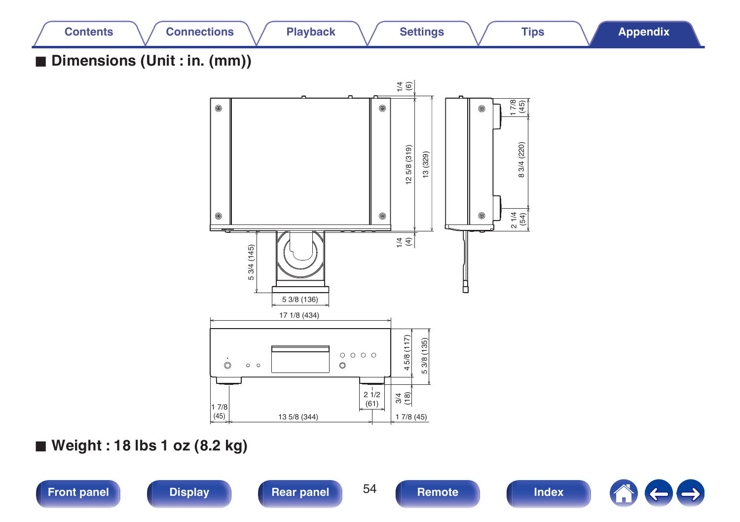

**[Front panel](#page-7-0) [Display](#page-9-0) [Rear panel](#page-10-0) B [Remote](#page-11-0) Remote [Index](#page-54-0)** 

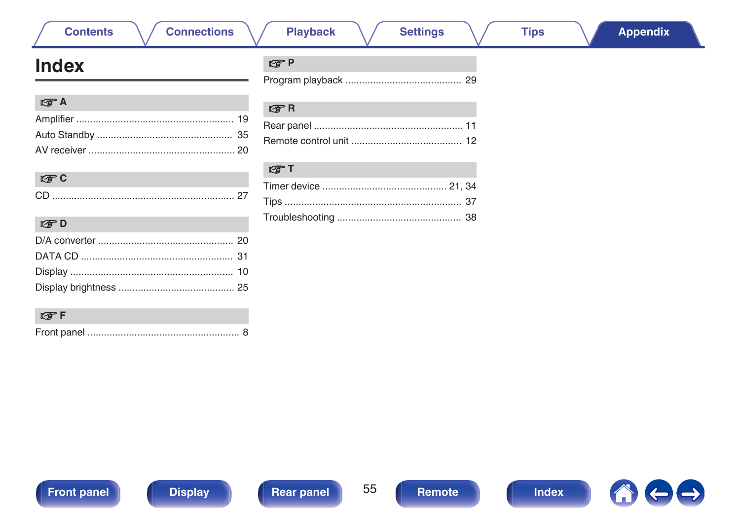# <span id="page-54-0"></span>**Index**

**Contents** 

| $E \oplus A$ |  |
|--------------|--|
|              |  |
|              |  |
|              |  |

| - 61 |  |
|------|--|

| CPD |  |
|-----|--|
|     |  |
|     |  |
|     |  |
|     |  |

## t**</mark>**F

|--|--|--|

**Settings** 

#### $CPR$

#### $F$  T

### lg了P

**Connections** 

**Playback**